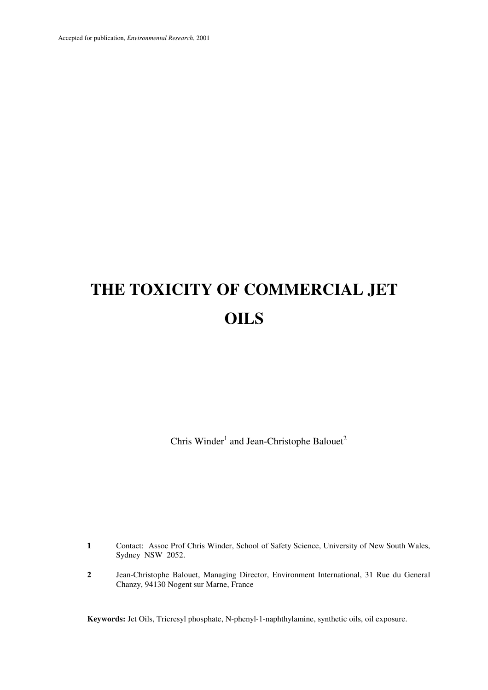# **THE TOXICITY OF COMMERCIAL JET OILS**

Chris Winder<sup>1</sup> and Jean-Christophe Balouet<sup>2</sup>

- **1** Contact: Assoc Prof Chris Winder, School of Safety Science, University of New South Wales, Sydney NSW 2052.
- **2** Jean-Christophe Balouet, Managing Director, Environment International, 31 Rue du General Chanzy, 94130 Nogent sur Marne, France

**Keywords:** Jet Oils, Tricresyl phosphate, N-phenyl-1-naphthylamine, synthetic oils, oil exposure.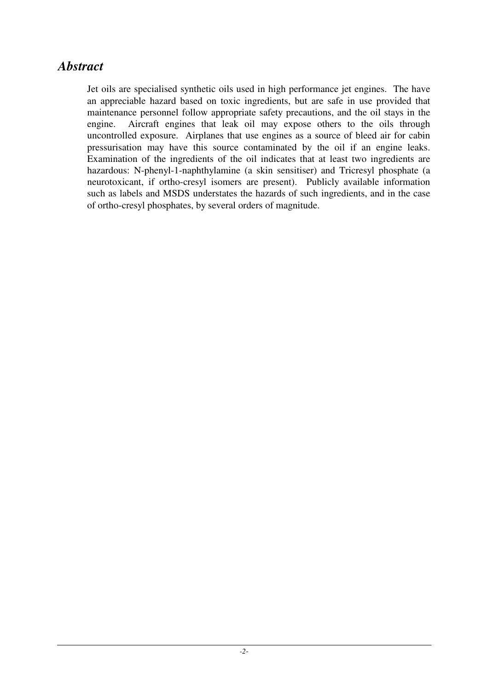# *Abstract*

Jet oils are specialised synthetic oils used in high performance jet engines. The have an appreciable hazard based on toxic ingredients, but are safe in use provided that maintenance personnel follow appropriate safety precautions, and the oil stays in the engine. Aircraft engines that leak oil may expose others to the oils through uncontrolled exposure. Airplanes that use engines as a source of bleed air for cabin pressurisation may have this source contaminated by the oil if an engine leaks. Examination of the ingredients of the oil indicates that at least two ingredients are hazardous: N-phenyl-1-naphthylamine (a skin sensitiser) and Tricresyl phosphate (a neurotoxicant, if ortho-cresyl isomers are present). Publicly available information such as labels and MSDS understates the hazards of such ingredients, and in the case of ortho-cresyl phosphates, by several orders of magnitude.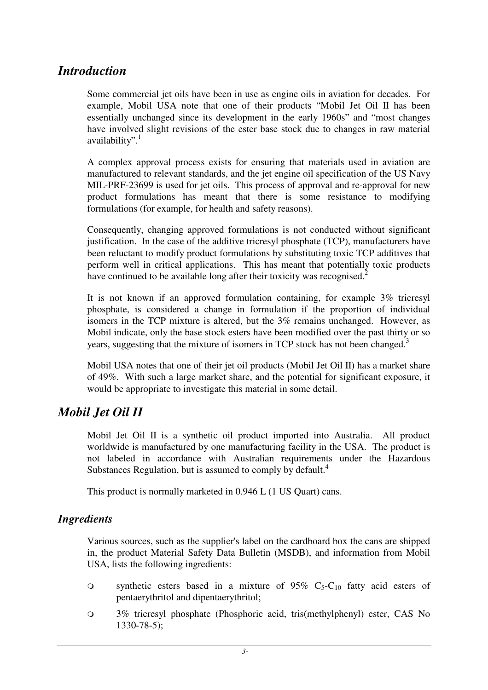## *Introduction*

Some commercial jet oils have been in use as engine oils in aviation for decades. For example, Mobil USA note that one of their products "Mobil Jet Oil II has been essentially unchanged since its development in the early 1960s" and "most changes have involved slight revisions of the ester base stock due to changes in raw material availability".<sup>1</sup>

A complex approval process exists for ensuring that materials used in aviation are manufactured to relevant standards, and the jet engine oil specification of the US Navy MIL-PRF-23699 is used for jet oils. This process of approval and re-approval for new product formulations has meant that there is some resistance to modifying formulations (for example, for health and safety reasons).

Consequently, changing approved formulations is not conducted without significant justification. In the case of the additive tricresyl phosphate (TCP), manufacturers have been reluctant to modify product formulations by substituting toxic TCP additives that perform well in critical applications. This has meant that potentially toxic products have continued to be available long after their toxicity was recognised.<sup>2</sup>

It is not known if an approved formulation containing, for example 3% tricresyl phosphate, is considered a change in formulation if the proportion of individual isomers in the TCP mixture is altered, but the 3% remains unchanged. However, as Mobil indicate, only the base stock esters have been modified over the past thirty or so years, suggesting that the mixture of isomers in TCP stock has not been changed.<sup>3</sup>

Mobil USA notes that one of their jet oil products (Mobil Jet Oil II) has a market share of 49%. With such a large market share, and the potential for significant exposure, it would be appropriate to investigate this material in some detail.

## *Mobil Jet Oil II*

Mobil Jet Oil II is a synthetic oil product imported into Australia. All product worldwide is manufactured by one manufacturing facility in the USA. The product is not labeled in accordance with Australian requirements under the Hazardous Substances Regulation, but is assumed to comply by default.<sup>4</sup>

This product is normally marketed in 0.946 L (1 US Quart) cans.

#### *Ingredients*

Various sources, such as the supplier's label on the cardboard box the cans are shipped in, the product Material Safety Data Bulletin (MSDB), and information from Mobil USA, lists the following ingredients:

- $\circ$  synthetic esters based in a mixture of 95% C<sub>5</sub>-C<sub>10</sub> fatty acid esters of pentaerythritol and dipentaerythritol;
- 3% tricresyl phosphate (Phosphoric acid, tris(methylphenyl) ester, CAS No 1330-78-5);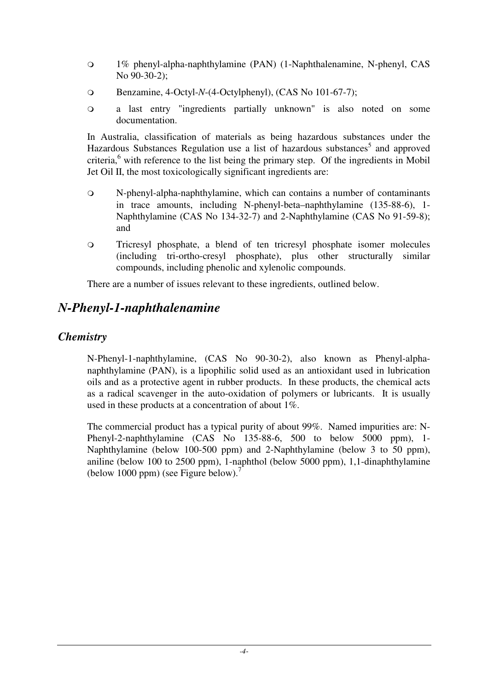- 1% phenyl-alpha-naphthylamine (PAN) (1-Naphthalenamine, N-phenyl, CAS No 90-30-2);
- Benzamine, 4-Octyl-*N*-(4-Octylphenyl), (CAS No 101-67-7);
- a last entry "ingredients partially unknown" is also noted on some documentation.

In Australia, classification of materials as being hazardous substances under the Hazardous Substances Regulation use a list of hazardous substances<sup>5</sup> and approved criteria, $6$  with reference to the list being the primary step. Of the ingredients in Mobil Jet Oil II, the most toxicologically significant ingredients are:

- N-phenyl-alpha-naphthylamine, which can contains a number of contaminants in trace amounts, including N-phenyl-beta–naphthylamine (135-88-6), 1- Naphthylamine (CAS No 134-32-7) and 2-Naphthylamine (CAS No 91-59-8); and
- Tricresyl phosphate, a blend of ten tricresyl phosphate isomer molecules (including tri-ortho-cresyl phosphate), plus other structurally similar compounds, including phenolic and xylenolic compounds.

There are a number of issues relevant to these ingredients, outlined below.

## *N-Phenyl-1-naphthalenamine*

#### *Chemistry*

N-Phenyl-1-naphthylamine, (CAS No 90-30-2), also known as Phenyl-alphanaphthylamine (PAN), is a lipophilic solid used as an antioxidant used in lubrication oils and as a protective agent in rubber products. In these products, the chemical acts as a radical scavenger in the auto-oxidation of polymers or lubricants. It is usually used in these products at a concentration of about 1%.

The commercial product has a typical purity of about 99%. Named impurities are: N-Phenyl-2-naphthylamine (CAS No 135-88-6, 500 to below 5000 ppm), 1- Naphthylamine (below 100-500 ppm) and 2-Naphthylamine (below 3 to 50 ppm), aniline (below 100 to 2500 ppm), 1-naphthol (below 5000 ppm), 1,1-dinaphthylamine (below 1000 ppm) (see Figure below). $<sup>7</sup>$ </sup>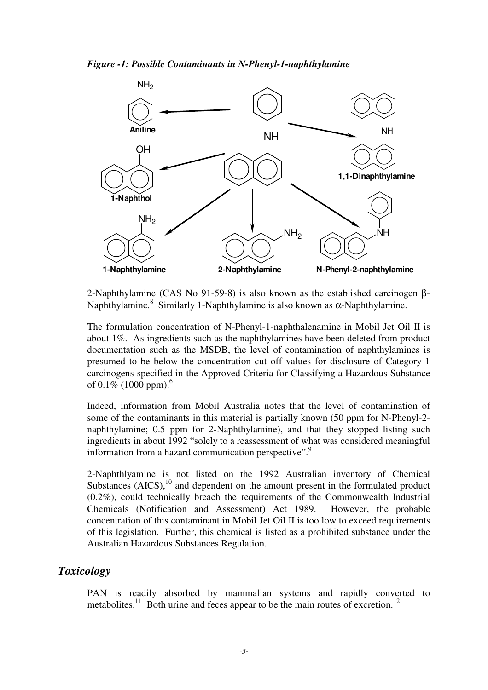*Figure -1: Possible Contaminants in N-Phenyl-1-naphthylamine* 



2-Naphthylamine (CAS No 91-59-8) is also known as the established carcinogen β-Naphthylamine.<sup>8</sup> Similarly 1-Naphthylamine is also known as  $\alpha$ -Naphthylamine.

The formulation concentration of N-Phenyl-1-naphthalenamine in Mobil Jet Oil II is about 1%. As ingredients such as the naphthylamines have been deleted from product documentation such as the MSDB, the level of contamination of naphthylamines is presumed to be below the concentration cut off values for disclosure of Category 1 carcinogens specified in the Approved Criteria for Classifying a Hazardous Substance of  $0.1\%$  (1000 ppm).<sup>6</sup>

Indeed, information from Mobil Australia notes that the level of contamination of some of the contaminants in this material is partially known (50 ppm for N-Phenyl-2 naphthylamine; 0.5 ppm for 2-Naphthylamine), and that they stopped listing such ingredients in about 1992 "solely to a reassessment of what was considered meaningful information from a hazard communication perspective".<sup>9</sup>

2-Naphthlyamine is not listed on the 1992 Australian inventory of Chemical Substances  $(AICS)$ ,<sup>10</sup> and dependent on the amount present in the formulated product (0.2%), could technically breach the requirements of the Commonwealth Industrial Chemicals (Notification and Assessment) Act 1989. However, the probable concentration of this contaminant in Mobil Jet Oil II is too low to exceed requirements of this legislation. Further, this chemical is listed as a prohibited substance under the Australian Hazardous Substances Regulation.

## *Toxicology*

PAN is readily absorbed by mammalian systems and rapidly converted to metabolites.<sup>11</sup> Both urine and feces appear to be the main routes of excretion.<sup>12</sup>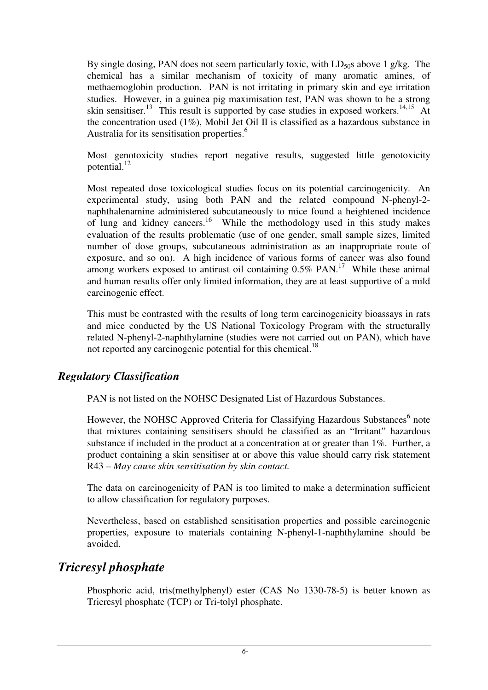By single dosing, PAN does not seem particularly toxic, with  $LD_{50}$ s above 1 g/kg. The chemical has a similar mechanism of toxicity of many aromatic amines, of methaemoglobin production. PAN is not irritating in primary skin and eye irritation studies. However, in a guinea pig maximisation test, PAN was shown to be a strong skin sensitiser.<sup>13</sup> This result is supported by case studies in exposed workers.<sup>14,15</sup> At the concentration used (1%), Mobil Jet Oil II is classified as a hazardous substance in Australia for its sensitisation properties.<sup>6</sup>

Most genotoxicity studies report negative results, suggested little genotoxicity potential.<sup>12</sup>

Most repeated dose toxicological studies focus on its potential carcinogenicity. An experimental study, using both PAN and the related compound N-phenyl-2 naphthalenamine administered subcutaneously to mice found a heightened incidence of lung and kidney cancers.<sup>16</sup> While the methodology used in this study makes evaluation of the results problematic (use of one gender, small sample sizes, limited number of dose groups, subcutaneous administration as an inappropriate route of exposure, and so on). A high incidence of various forms of cancer was also found among workers exposed to antirust oil containing  $0.5\%$  PAN.<sup>17</sup> While these animal and human results offer only limited information, they are at least supportive of a mild carcinogenic effect.

This must be contrasted with the results of long term carcinogenicity bioassays in rats and mice conducted by the US National Toxicology Program with the structurally related N-phenyl-2-naphthylamine (studies were not carried out on PAN), which have not reported any carcinogenic potential for this chemical.<sup>18</sup>

#### *Regulatory Classification*

PAN is not listed on the NOHSC Designated List of Hazardous Substances.

However, the NOHSC Approved Criteria for Classifying Hazardous Substances<sup>6</sup> note that mixtures containing sensitisers should be classified as an "Irritant" hazardous substance if included in the product at a concentration at or greater than 1%. Further, a product containing a skin sensitiser at or above this value should carry risk statement R43 – *May cause skin sensitisation by skin contact.*

The data on carcinogenicity of PAN is too limited to make a determination sufficient to allow classification for regulatory purposes.

Nevertheless, based on established sensitisation properties and possible carcinogenic properties, exposure to materials containing N-phenyl-1-naphthylamine should be avoided.

# *Tricresyl phosphate*

Phosphoric acid, tris(methylphenyl) ester (CAS No 1330-78-5) is better known as Tricresyl phosphate (TCP) or Tri-tolyl phosphate.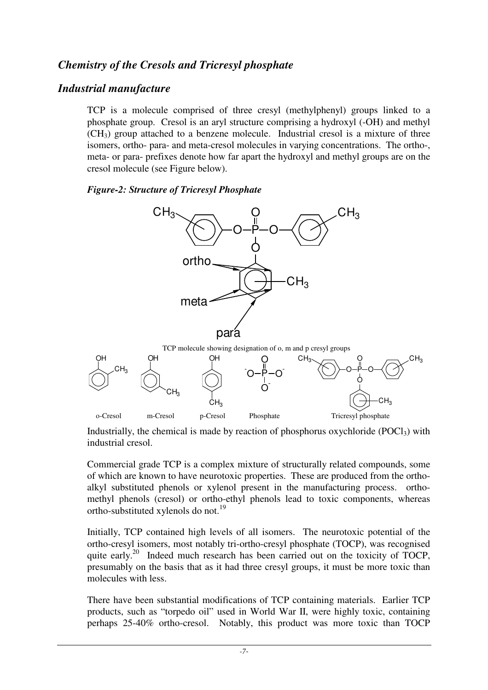## *Chemistry of the Cresols and Tricresyl phosphate*

#### *Industrial manufacture*

TCP is a molecule comprised of three cresyl (methylphenyl) groups linked to a phosphate group. Cresol is an aryl structure comprising a hydroxyl (-OH) and methyl  $(CH<sub>3</sub>)$  group attached to a benzene molecule. Industrial cresol is a mixture of three isomers, ortho- para- and meta-cresol molecules in varying concentrations. The ortho-, meta- or para- prefixes denote how far apart the hydroxyl and methyl groups are on the cresol molecule (see Figure below).

#### *Figure-2: Structure of Tricresyl Phosphate*



Industrially, the chemical is made by reaction of phosphorus oxychloride  $(POCl<sub>3</sub>)$  with industrial cresol.

Commercial grade TCP is a complex mixture of structurally related compounds, some of which are known to have neurotoxic properties. These are produced from the orthoalkyl substituted phenols or xylenol present in the manufacturing process. orthomethyl phenols (cresol) or ortho-ethyl phenols lead to toxic components, whereas ortho-substituted xylenols do not.<sup>19</sup>

Initially, TCP contained high levels of all isomers. The neurotoxic potential of the ortho-cresyl isomers, most notably tri-ortho-cresyl phosphate (TOCP), was recognised quite early.<sup>20</sup> Indeed much research has been carried out on the toxicity of TOCP, presumably on the basis that as it had three cresyl groups, it must be more toxic than molecules with less.

There have been substantial modifications of TCP containing materials. Earlier TCP products, such as "torpedo oil" used in World War II, were highly toxic, containing perhaps 25-40% ortho-cresol. Notably, this product was more toxic than TOCP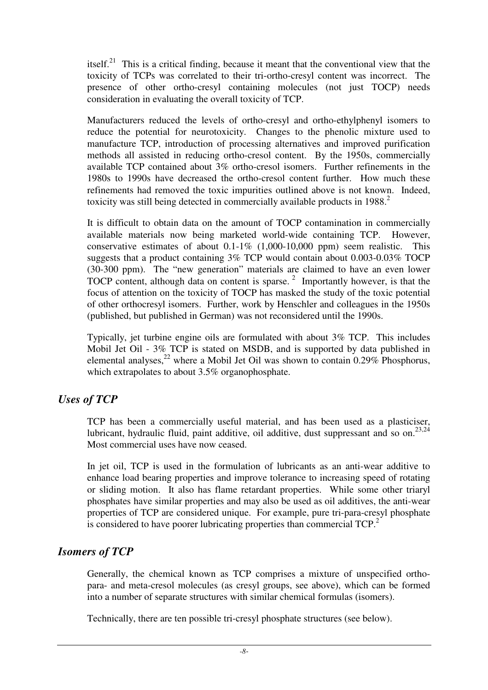itself.<sup>21</sup> This is a critical finding, because it meant that the conventional view that the toxicity of TCPs was correlated to their tri-ortho-cresyl content was incorrect. The presence of other ortho-cresyl containing molecules (not just TOCP) needs consideration in evaluating the overall toxicity of TCP.

Manufacturers reduced the levels of ortho-cresyl and ortho-ethylphenyl isomers to reduce the potential for neurotoxicity. Changes to the phenolic mixture used to manufacture TCP, introduction of processing alternatives and improved purification methods all assisted in reducing ortho-cresol content. By the 1950s, commercially available TCP contained about 3% ortho-cresol isomers. Further refinements in the 1980s to 1990s have decreased the ortho-cresol content further. How much these refinements had removed the toxic impurities outlined above is not known. Indeed, toxicity was still being detected in commercially available products in 1988.<sup>2</sup>

It is difficult to obtain data on the amount of TOCP contamination in commercially available materials now being marketed world-wide containing TCP. However, conservative estimates of about  $0.1\n-1\%$  (1,000-10,000 ppm) seem realistic. This suggests that a product containing 3% TCP would contain about 0.003-0.03% TOCP (30-300 ppm). The "new generation" materials are claimed to have an even lower TOCP content, although data on content is sparse.<sup>2</sup> Importantly however, is that the focus of attention on the toxicity of TOCP has masked the study of the toxic potential of other orthocresyl isomers. Further, work by Henschler and colleagues in the 1950s (published, but published in German) was not reconsidered until the 1990s.

Typically, jet turbine engine oils are formulated with about 3% TCP. This includes Mobil Jet Oil - 3% TCP is stated on MSDB, and is supported by data published in elemental analyses,<sup>22</sup> where a Mobil Jet Oil was shown to contain  $0.29\%$  Phosphorus, which extrapolates to about 3.5% organophosphate.

#### *Uses of TCP*

TCP has been a commercially useful material, and has been used as a plasticiser, lubricant, hydraulic fluid, paint additive, oil additive, dust suppressant and so on.<sup>23,24</sup> Most commercial uses have now ceased.

In jet oil, TCP is used in the formulation of lubricants as an anti-wear additive to enhance load bearing properties and improve tolerance to increasing speed of rotating or sliding motion. It also has flame retardant properties. While some other triaryl phosphates have similar properties and may also be used as oil additives, the anti-wear properties of TCP are considered unique. For example, pure tri-para-cresyl phosphate is considered to have poorer lubricating properties than commercial TCP. $2$ 

#### *Isomers of TCP*

Generally, the chemical known as TCP comprises a mixture of unspecified orthopara- and meta-cresol molecules (as cresyl groups, see above), which can be formed into a number of separate structures with similar chemical formulas (isomers).

Technically, there are ten possible tri-cresyl phosphate structures (see below).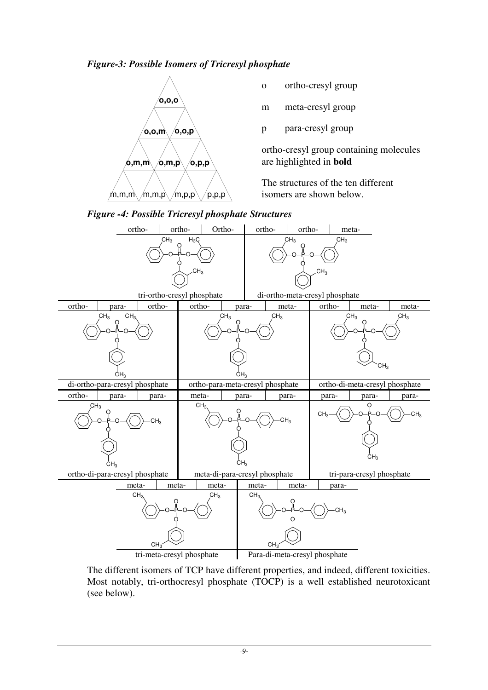#### *Figure-3: Possible Isomers of Tricresyl phosphate*



- o ortho-cresyl group
- m meta-cresyl group
- p para-cresyl group

ortho-cresyl group containing molecules are highlighted in **bold** 

The structures of the ten different isomers are shown below.





The different isomers of TCP have different properties, and indeed, different toxicities. Most notably, tri-orthocresyl phosphate (TOCP) is a well established neurotoxicant (see below).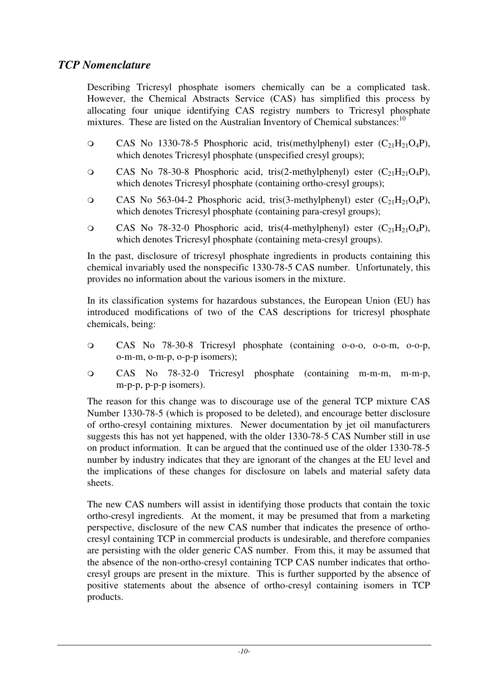#### *TCP Nomenclature*

Describing Tricresyl phosphate isomers chemically can be a complicated task. However, the Chemical Abstracts Service (CAS) has simplified this process by allocating four unique identifying CAS registry numbers to Tricresyl phosphate mixtures. These are listed on the Australian Inventory of Chemical substances:  $10$ 

- $\Omega$  CAS No 1330-78-5 Phosphoric acid, tris(methylphenyl) ester (C<sub>21</sub>H<sub>21</sub>O<sub>4</sub>P), which denotes Tricresyl phosphate (unspecified cresyl groups);
- $\Omega$  CAS No 78-30-8 Phosphoric acid, tris(2-methylphenyl) ester (C<sub>21</sub>H<sub>21</sub>O<sub>4</sub>P), which denotes Tricresyl phosphate (containing ortho-cresyl groups);
- CAS No 563-04-2 Phosphoric acid, tris(3-methylphenyl) ester  $(C_{21}H_{21}O_4P)$ , which denotes Tricresyl phosphate (containing para-cresyl groups);
- $\Omega$  CAS No 78-32-0 Phosphoric acid, tris(4-methylphenyl) ester (C<sub>21</sub>H<sub>21</sub>O<sub>4</sub>P), which denotes Tricresyl phosphate (containing meta-cresyl groups).

In the past, disclosure of tricresyl phosphate ingredients in products containing this chemical invariably used the nonspecific 1330-78-5 CAS number. Unfortunately, this provides no information about the various isomers in the mixture.

In its classification systems for hazardous substances, the European Union (EU) has introduced modifications of two of the CAS descriptions for tricresyl phosphate chemicals, being:

- CAS No 78-30-8 Tricresyl phosphate (containing o-o-o, o-o-m, o-o-p, o-m-m, o-m-p, o-p-p isomers);
- CAS No 78-32-0 Tricresyl phosphate (containing m-m-m, m-m-p, m-p-p, p-p-p isomers).

The reason for this change was to discourage use of the general TCP mixture CAS Number 1330-78-5 (which is proposed to be deleted), and encourage better disclosure of ortho-cresyl containing mixtures. Newer documentation by jet oil manufacturers suggests this has not yet happened, with the older 1330-78-5 CAS Number still in use on product information. It can be argued that the continued use of the older 1330-78-5 number by industry indicates that they are ignorant of the changes at the EU level and the implications of these changes for disclosure on labels and material safety data sheets.

The new CAS numbers will assist in identifying those products that contain the toxic ortho-cresyl ingredients. At the moment, it may be presumed that from a marketing perspective, disclosure of the new CAS number that indicates the presence of orthocresyl containing TCP in commercial products is undesirable, and therefore companies are persisting with the older generic CAS number. From this, it may be assumed that the absence of the non-ortho-cresyl containing TCP CAS number indicates that orthocresyl groups are present in the mixture. This is further supported by the absence of positive statements about the absence of ortho-cresyl containing isomers in TCP products.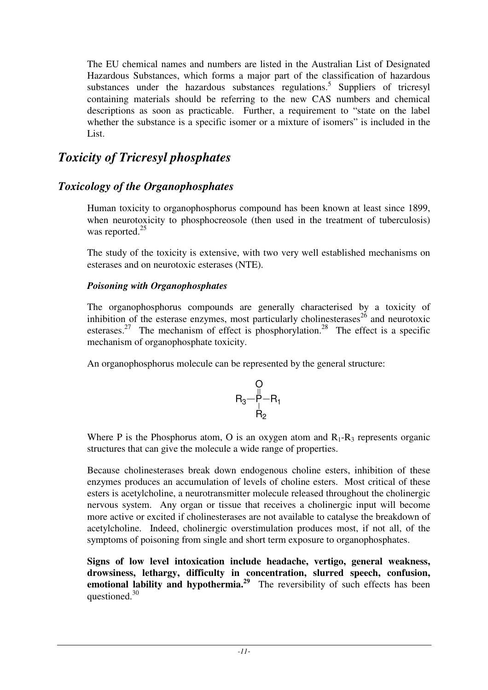The EU chemical names and numbers are listed in the Australian List of Designated Hazardous Substances, which forms a major part of the classification of hazardous substances under the hazardous substances regulations.<sup>5</sup> Suppliers of tricresyl containing materials should be referring to the new CAS numbers and chemical descriptions as soon as practicable. Further, a requirement to "state on the label whether the substance is a specific isomer or a mixture of isomers" is included in the List.

# *Toxicity of Tricresyl phosphates*

## *Toxicology of the Organophosphates*

Human toxicity to organophosphorus compound has been known at least since 1899, when neurotoxicity to phosphocreosole (then used in the treatment of tuberculosis) was reported.<sup>25</sup>

The study of the toxicity is extensive, with two very well established mechanisms on esterases and on neurotoxic esterases (NTE).

#### *Poisoning with Organophosphates*

The organophosphorus compounds are generally characterised by a toxicity of inhibition of the esterase enzymes, most particularly cholinesterases<sup>26</sup> and neurotoxic esterases.<sup>27</sup> The mechanism of effect is phosphorylation.<sup>28</sup> The effect is a specific mechanism of organophosphate toxicity.

An organophosphorus molecule can be represented by the general structure:

$$
R_{3} - P_{1} - R_{1} + R_{2}
$$

Where P is the Phosphorus atom, O is an oxygen atom and  $R_1-R_3$  represents organic structures that can give the molecule a wide range of properties.

Because cholinesterases break down endogenous choline esters, inhibition of these enzymes produces an accumulation of levels of choline esters. Most critical of these esters is acetylcholine, a neurotransmitter molecule released throughout the cholinergic nervous system. Any organ or tissue that receives a cholinergic input will become more active or excited if cholinesterases are not available to catalyse the breakdown of acetylcholine. Indeed, cholinergic overstimulation produces most, if not all, of the symptoms of poisoning from single and short term exposure to organophosphates.

**Signs of low level intoxication include headache, vertigo, general weakness, drowsiness, lethargy, difficulty in concentration, slurred speech, confusion, emotional lability and hypothermia.<sup>29</sup>** The reversibility of such effects has been questioned.<sup>30</sup>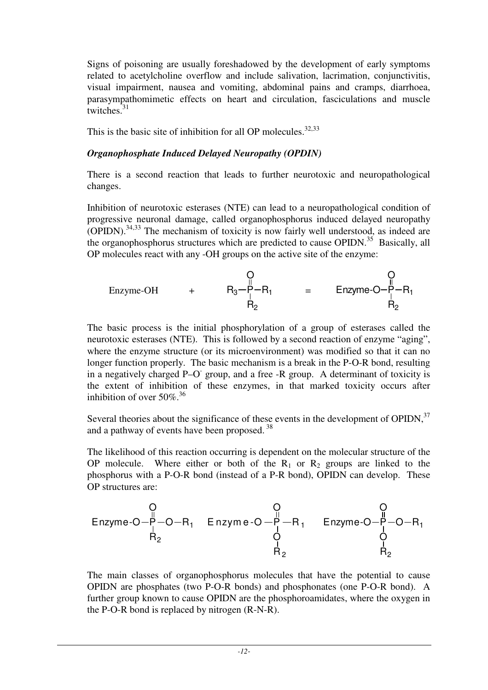Signs of poisoning are usually foreshadowed by the development of early symptoms related to acetylcholine overflow and include salivation, lacrimation, conjunctivitis, visual impairment, nausea and vomiting, abdominal pains and cramps, diarrhoea, parasympathomimetic effects on heart and circulation, fasciculations and muscle twitches.<sup>31</sup>

This is the basic site of inhibition for all OP molecules. $32,33$ 

#### *Organophosphate Induced Delayed Neuropathy (OPDIN)*

There is a second reaction that leads to further neurotoxic and neuropathological changes.

Inhibition of neurotoxic esterases (NTE) can lead to a neuropathological condition of progressive neuronal damage, called organophosphorus induced delayed neuropathy  $(OPIDN)$ .<sup>34,33</sup> The mechanism of toxicity is now fairly well understood, as indeed are the organophosphorus structures which are predicted to cause OPIDN.<sup>35</sup> Basically, all OP molecules react with any -OH groups on the active site of the enzyme:

$$
\begin{array}{ccc} \text{Enzyme-OH} & + & \begin{array}{ccc} & \text{O} & & \text{O} \\ \text{H} & + & \text{R}_3-\text{P}-\text{R}_1 & = & \text{Enzyme-O}-\text{P}-\text{R}_1 \\ \text{R}_2 & & \text{R}_2 \end{array} \end{array}
$$

The basic process is the initial phosphorylation of a group of esterases called the neurotoxic esterases (NTE). This is followed by a second reaction of enzyme "aging", where the enzyme structure (or its microenvironment) was modified so that it can no longer function properly. The basic mechanism is a break in the P-O-R bond, resulting in a negatively charged P-O group, and a free -R group. A determinant of toxicity is the extent of inhibition of these enzymes, in that marked toxicity occurs after inhibition of over  $50\%$ <sup>36</sup>

Several theories about the significance of these events in the development of OPIDN, $37$ and a pathway of events have been proposed.<sup>38</sup>

The likelihood of this reaction occurring is dependent on the molecular structure of the OP molecule. Where either or both of the  $R_1$  or  $R_2$  groups are linked to the phosphorus with a P-O-R bond (instead of a P-R bond), OPIDN can develop. These OP structures are:

$$
\begin{matrix} & & & & O & & & & \\ & & & & & O & & & & \\ \text{Enzyme-O}-P-O-R_1 & \text{Enzyme-O}-P-R_1 & \text{Enzyme-O}-P-O-R_1 & \\ & R_2 & & Q & & Q & \\ & & R_2 & & & R_2 & \\ \end{matrix}
$$

The main classes of organophosphorus molecules that have the potential to cause OPIDN are phosphates (two P-O-R bonds) and phosphonates (one P-O-R bond). A further group known to cause OPIDN are the phosphoroamidates, where the oxygen in the P-O-R bond is replaced by nitrogen (R-N-R).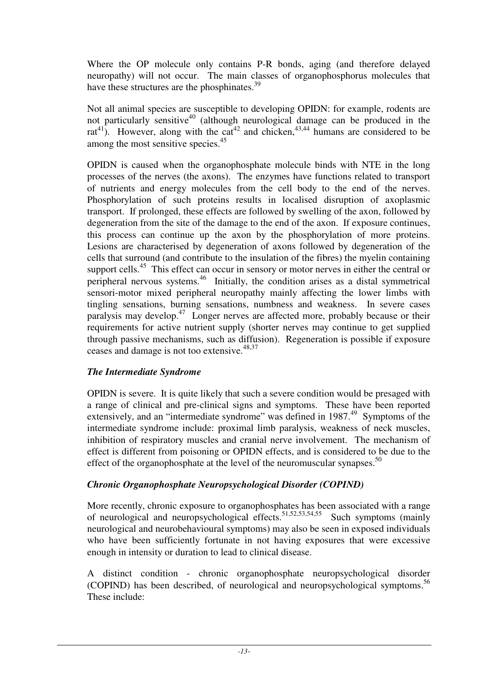Where the OP molecule only contains P-R bonds, aging (and therefore delayed neuropathy) will not occur. The main classes of organophosphorus molecules that have these structures are the phosphinates.<sup>39</sup>

Not all animal species are susceptible to developing OPIDN: for example, rodents are not particularly sensitive<sup>40</sup> (although neurological damage can be produced in the rat<sup>41</sup>). However, along with the cat<sup>42</sup> and chicken,<sup>43,44</sup> humans are considered to be among the most sensitive species.<sup>45</sup>

OPIDN is caused when the organophosphate molecule binds with NTE in the long processes of the nerves (the axons). The enzymes have functions related to transport of nutrients and energy molecules from the cell body to the end of the nerves. Phosphorylation of such proteins results in localised disruption of axoplasmic transport. If prolonged, these effects are followed by swelling of the axon, followed by degeneration from the site of the damage to the end of the axon. If exposure continues, this process can continue up the axon by the phosphorylation of more proteins. Lesions are characterised by degeneration of axons followed by degeneration of the cells that surround (and contribute to the insulation of the fibres) the myelin containing support cells.<sup>45</sup> This effect can occur in sensory or motor nerves in either the central or peripheral nervous systems.<sup>46</sup> Initially, the condition arises as a distal symmetrical sensori-motor mixed peripheral neuropathy mainly affecting the lower limbs with tingling sensations, burning sensations, numbness and weakness. In severe cases paralysis may develop.<sup>47</sup> Longer nerves are affected more, probably because or their requirements for active nutrient supply (shorter nerves may continue to get supplied through passive mechanisms, such as diffusion). Regeneration is possible if exposure ceases and damage is not too extensive.<sup>48,37</sup>

#### *The Intermediate Syndrome*

OPIDN is severe. It is quite likely that such a severe condition would be presaged with a range of clinical and pre-clinical signs and symptoms. These have been reported extensively, and an "intermediate syndrome" was defined in 1987.<sup>49</sup> Symptoms of the intermediate syndrome include: proximal limb paralysis, weakness of neck muscles, inhibition of respiratory muscles and cranial nerve involvement. The mechanism of effect is different from poisoning or OPIDN effects, and is considered to be due to the effect of the organophosphate at the level of the neuromuscular synapses.<sup>50</sup>

#### *Chronic Organophosphate Neuropsychological Disorder (COPIND)*

More recently, chronic exposure to organophosphates has been associated with a range of neurological and neuropsychological effects.<sup>51,52,53,54,55</sup> Such symptoms (mainly neurological and neurobehavioural symptoms) may also be seen in exposed individuals who have been sufficiently fortunate in not having exposures that were excessive enough in intensity or duration to lead to clinical disease.

A distinct condition - chronic organophosphate neuropsychological disorder (COPIND) has been described, of neurological and neuropsychological symptoms.<sup>56</sup> These include: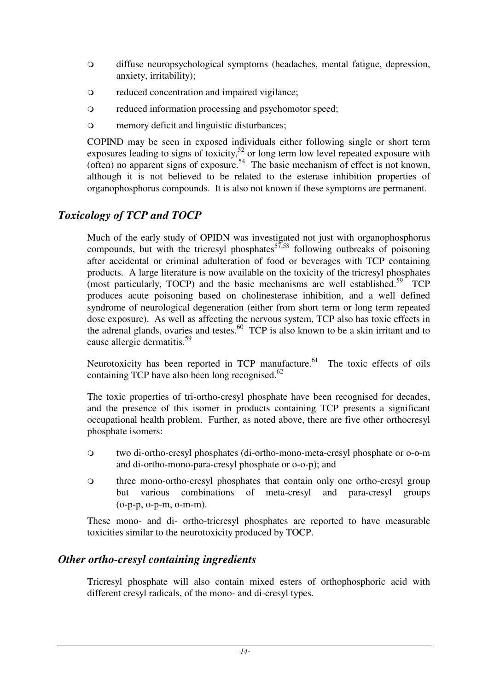- diffuse neuropsychological symptoms (headaches, mental fatigue, depression, anxiety, irritability);
- reduced concentration and impaired vigilance;
- reduced information processing and psychomotor speed;
- memory deficit and linguistic disturbances;

COPIND may be seen in exposed individuals either following single or short term exposures leading to signs of toxicity, $5^2$  or long term low level repeated exposure with (often) no apparent signs of exposure.<sup>54</sup> The basic mechanism of effect is not known, although it is not believed to be related to the esterase inhibition properties of organophosphorus compounds. It is also not known if these symptoms are permanent.

## *Toxicology of TCP and TOCP*

Much of the early study of OPIDN was investigated not just with organophosphorus compounds, but with the tricresyl phosphates $57,58$  following outbreaks of poisoning after accidental or criminal adulteration of food or beverages with TCP containing products. A large literature is now available on the toxicity of the tricresyl phosphates (most particularly, TOCP) and the basic mechanisms are well established.<sup>59</sup> TCP produces acute poisoning based on cholinesterase inhibition, and a well defined syndrome of neurological degeneration (either from short term or long term repeated dose exposure). As well as affecting the nervous system, TCP also has toxic effects in the adrenal glands, ovaries and testes.<sup>60</sup> TCP is also known to be a skin irritant and to cause allergic dermatitis.<sup>59</sup>

Neurotoxicity has been reported in TCP manufacture. $61$  The toxic effects of oils containing TCP have also been long recognised.<sup>62</sup>

The toxic properties of tri-ortho-cresyl phosphate have been recognised for decades, and the presence of this isomer in products containing TCP presents a significant occupational health problem. Further, as noted above, there are five other orthocresyl phosphate isomers:

- two di-ortho-cresyl phosphates (di-ortho-mono-meta-cresyl phosphate or o-o-m and di-ortho-mono-para-cresyl phosphate or o-o-p); and
- three mono-ortho-cresyl phosphates that contain only one ortho-cresyl group but various combinations of meta-cresyl and para-cresyl groups (o-p-p, o-p-m, o-m-m).

These mono- and di- ortho-tricresyl phosphates are reported to have measurable toxicities similar to the neurotoxicity produced by TOCP.

#### *Other ortho-cresyl containing ingredients*

Tricresyl phosphate will also contain mixed esters of orthophosphoric acid with different cresyl radicals, of the mono- and di-cresyl types.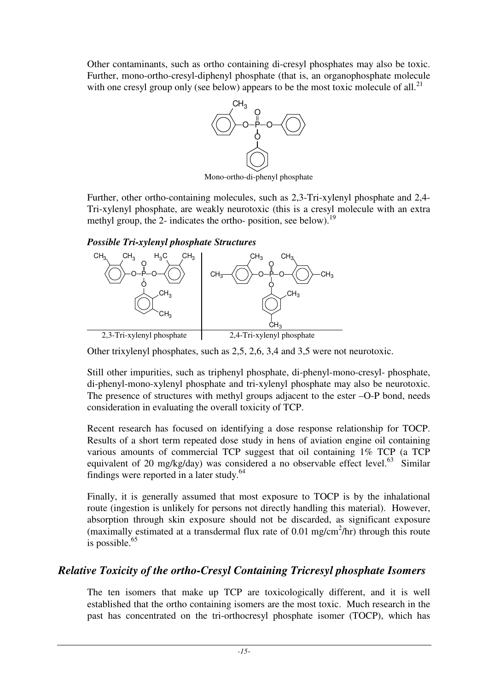Other contaminants, such as ortho containing di-cresyl phosphates may also be toxic. Further, mono-ortho-cresyl-diphenyl phosphate (that is, an organophosphate molecule with one cresyl group only (see below) appears to be the most toxic molecule of all.<sup>21</sup>



Mono-ortho-di-phenyl phosphate

Further, other ortho-containing molecules, such as 2,3-Tri-xylenyl phosphate and 2,4- Tri-xylenyl phosphate, are weakly neurotoxic (this is a cresyl molecule with an extra methyl group, the 2- indicates the ortho-position, see below).<sup>19</sup>

#### *Possible Tri-xylenyl phosphate Structures*



Other trixylenyl phosphates, such as 2,5, 2,6, 3,4 and 3,5 were not neurotoxic.

Still other impurities, such as triphenyl phosphate, di-phenyl-mono-cresyl- phosphate, di-phenyl-mono-xylenyl phosphate and tri-xylenyl phosphate may also be neurotoxic. The presence of structures with methyl groups adjacent to the ester –O-P bond, needs consideration in evaluating the overall toxicity of TCP.

Recent research has focused on identifying a dose response relationship for TOCP. Results of a short term repeated dose study in hens of aviation engine oil containing various amounts of commercial TCP suggest that oil containing 1% TCP (a TCP equivalent of 20 mg/kg/day) was considered a no observable effect level.<sup>63</sup> Similar findings were reported in a later study. $64$ 

Finally, it is generally assumed that most exposure to TOCP is by the inhalational route (ingestion is unlikely for persons not directly handling this material). However, absorption through skin exposure should not be discarded, as significant exposure (maximally estimated at a transdermal flux rate of  $0.01$  mg/cm<sup>2</sup>/hr) through this route is possible.<sup>65</sup>

## *Relative Toxicity of the ortho-Cresyl Containing Tricresyl phosphate Isomers*

The ten isomers that make up TCP are toxicologically different, and it is well established that the ortho containing isomers are the most toxic. Much research in the past has concentrated on the tri-orthocresyl phosphate isomer (TOCP), which has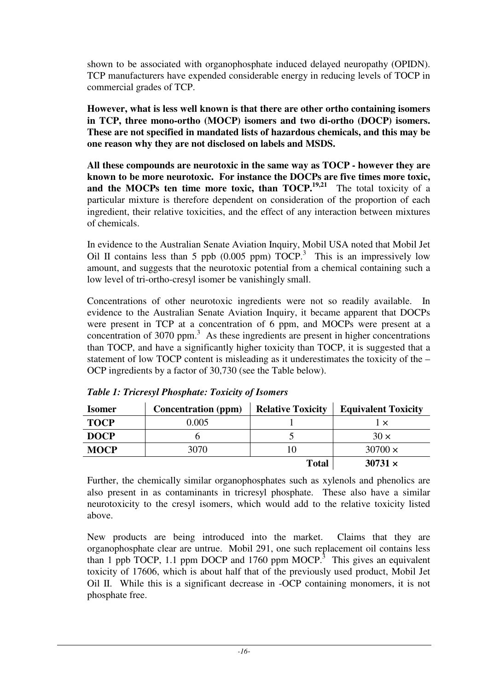shown to be associated with organophosphate induced delayed neuropathy (OPIDN). TCP manufacturers have expended considerable energy in reducing levels of TOCP in commercial grades of TCP.

**However, what is less well known is that there are other ortho containing isomers in TCP, three mono-ortho (MOCP) isomers and two di-ortho (DOCP) isomers. These are not specified in mandated lists of hazardous chemicals, and this may be one reason why they are not disclosed on labels and MSDS.** 

**All these compounds are neurotoxic in the same way as TOCP - however they are known to be more neurotoxic. For instance the DOCPs are five times more toxic,**  and the MOCPs ten time more toxic, than TOCP.<sup>19,21</sup> The total toxicity of a particular mixture is therefore dependent on consideration of the proportion of each ingredient, their relative toxicities, and the effect of any interaction between mixtures of chemicals.

In evidence to the Australian Senate Aviation Inquiry, Mobil USA noted that Mobil Jet Oil II contains less than 5 ppb  $(0.005$  ppm)  $TOCP<sup>3</sup>$ . This is an impressively low amount, and suggests that the neurotoxic potential from a chemical containing such a low level of tri-ortho-cresyl isomer be vanishingly small.

Concentrations of other neurotoxic ingredients were not so readily available. In evidence to the Australian Senate Aviation Inquiry, it became apparent that DOCPs were present in TCP at a concentration of 6 ppm, and MOCPs were present at a concentration of 3070 ppm. $3$  As these ingredients are present in higher concentrations than TOCP, and have a significantly higher toxicity than TOCP, it is suggested that a statement of low TOCP content is misleading as it underestimates the toxicity of the – OCP ingredients by a factor of 30,730 (see the Table below).

| Isomer      | <b>Concentration</b> (ppm) | <b>Relative Toxicity</b> | <b>Equivalent Toxicity</b> |
|-------------|----------------------------|--------------------------|----------------------------|
| <b>TOCP</b> | 0.005                      |                          | l x                        |
| <b>DOCP</b> |                            |                          | $30 \times$                |
| <b>MOCP</b> | 3070                       |                          | $30700 \times$             |
|             |                            | <b>Total</b>             | $30731 \times$             |

*Table 1: Tricresyl Phosphate: Toxicity of Isomers* 

Further, the chemically similar organophosphates such as xylenols and phenolics are also present in as contaminants in tricresyl phosphate. These also have a similar neurotoxicity to the cresyl isomers, which would add to the relative toxicity listed above.

New products are being introduced into the market. Claims that they are organophosphate clear are untrue. Mobil 291, one such replacement oil contains less than 1 ppb TOCP, 1.1 ppm DOCP and 1760 ppm MOCP.<sup>3</sup> This gives an equivalent toxicity of 17606, which is about half that of the previously used product, Mobil Jet Oil II. While this is a significant decrease in -OCP containing monomers, it is not phosphate free.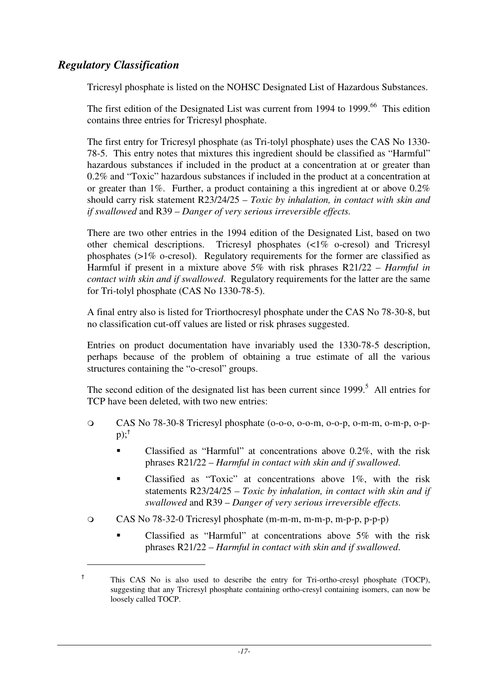## *Regulatory Classification*

 $\overline{a}$ 

Tricresyl phosphate is listed on the NOHSC Designated List of Hazardous Substances.

The first edition of the Designated List was current from 1994 to 1999.<sup>66</sup> This edition contains three entries for Tricresyl phosphate.

The first entry for Tricresyl phosphate (as Tri-tolyl phosphate) uses the CAS No 1330- 78-5. This entry notes that mixtures this ingredient should be classified as "Harmful" hazardous substances if included in the product at a concentration at or greater than 0.2% and "Toxic" hazardous substances if included in the product at a concentration at or greater than 1%. Further, a product containing a this ingredient at or above 0.2% should carry risk statement R23/24/25 – *Toxic by inhalation, in contact with skin and if swallowed* and R39 – *Danger of very serious irreversible effects.*

There are two other entries in the 1994 edition of the Designated List, based on two other chemical descriptions. Tricresyl phosphates (<1% o-cresol) and Tricresyl phosphates (>1% o-cresol). Regulatory requirements for the former are classified as Harmful if present in a mixture above 5% with risk phrases R21/22 – *Harmful in contact with skin and if swallowed*. Regulatory requirements for the latter are the same for Tri-tolyl phosphate (CAS No 1330-78-5).

A final entry also is listed for Triorthocresyl phosphate under the CAS No 78-30-8, but no classification cut-off values are listed or risk phrases suggested.

Entries on product documentation have invariably used the 1330-78-5 description, perhaps because of the problem of obtaining a true estimate of all the various structures containing the "o-cresol" groups.

The second edition of the designated list has been current since  $1999$ <sup>5</sup>. All entries for TCP have been deleted, with two new entries:

- CAS No 78-30-8 Tricresyl phosphate (o-o-o, o-o-m, o-o-p, o-m-m, o-m-p, o-p $p$ );<sup>†</sup>
	- - Classified as "Harmful" at concentrations above 0.2%, with the risk phrases R21/22 – *Harmful in contact with skin and if swallowed*.
	- - Classified as "Toxic" at concentrations above 1%, with the risk statements R23/24/25 – *Toxic by inhalation, in contact with skin and if swallowed* and R39 – *Danger of very serious irreversible effects.*
- CAS No 78-32-0 Tricresyl phosphate (m-m-m, m-m-p, m-p-p, p-p-p)
	- - Classified as "Harmful" at concentrations above 5% with the risk phrases R21/22 – *Harmful in contact with skin and if swallowed*.

<sup>†</sup> This CAS No is also used to describe the entry for Tri-ortho-cresyl phosphate (TOCP), suggesting that any Tricresyl phosphate containing ortho-cresyl containing isomers, can now be loosely called TOCP.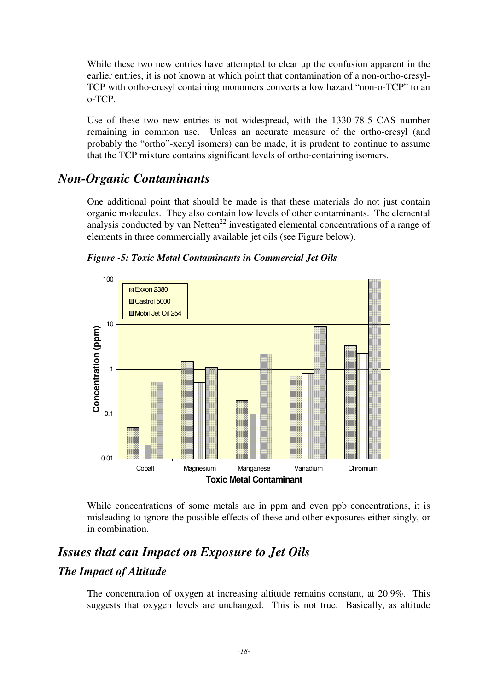While these two new entries have attempted to clear up the confusion apparent in the earlier entries, it is not known at which point that contamination of a non-ortho-cresyl-TCP with ortho-cresyl containing monomers converts a low hazard "non-o-TCP" to an o-TCP.

Use of these two new entries is not widespread, with the 1330-78-5 CAS number remaining in common use. Unless an accurate measure of the ortho-cresyl (and probably the "ortho"-xenyl isomers) can be made, it is prudent to continue to assume that the TCP mixture contains significant levels of ortho-containing isomers.

## *Non-Organic Contaminants*

One additional point that should be made is that these materials do not just contain organic molecules. They also contain low levels of other contaminants. The elemental analysis conducted by van Netten<sup>22</sup> investigated elemental concentrations of a range of elements in three commercially available jet oils (see Figure below).

*Figure -5: Toxic Metal Contaminants in Commercial Jet Oils* 



While concentrations of some metals are in ppm and even ppb concentrations, it is misleading to ignore the possible effects of these and other exposures either singly, or in combination.

# *Issues that can Impact on Exposure to Jet Oils The Impact of Altitude*

The concentration of oxygen at increasing altitude remains constant, at 20.9%. This suggests that oxygen levels are unchanged. This is not true. Basically, as altitude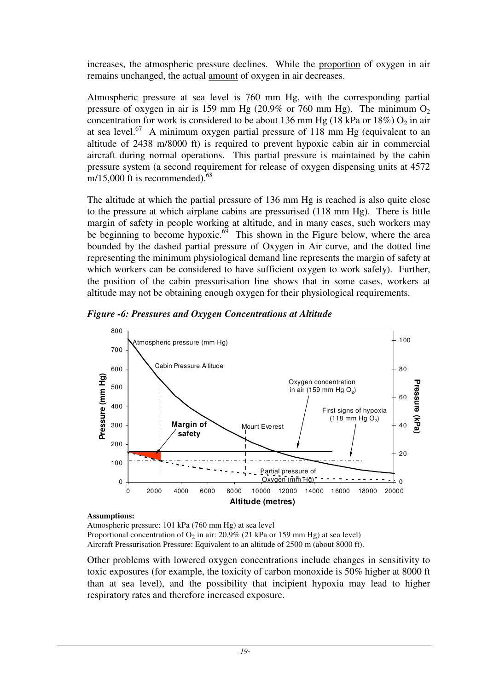increases, the atmospheric pressure declines. While the proportion of oxygen in air remains unchanged, the actual amount of oxygen in air decreases.

Atmospheric pressure at sea level is 760 mm Hg, with the corresponding partial pressure of oxygen in air is 159 mm Hg  $(20.9\% \text{ or } 760 \text{ mm Hg})$ . The minimum O<sub>2</sub> concentration for work is considered to be about 136 mm Hg (18 kPa or 18%)  $O_2$  in air at sea level.<sup>67</sup> A minimum oxygen partial pressure of 118 mm Hg (equivalent to an altitude of 2438 m/8000 ft) is required to prevent hypoxic cabin air in commercial aircraft during normal operations. This partial pressure is maintained by the cabin pressure system (a second requirement for release of oxygen dispensing units at 4572 m/15,000 ft is recommended). $^{68}$ 

The altitude at which the partial pressure of 136 mm Hg is reached is also quite close to the pressure at which airplane cabins are pressurised (118 mm Hg). There is little margin of safety in people working at altitude, and in many cases, such workers may be beginning to become hypoxic. $69$  This shown in the Figure below, where the area bounded by the dashed partial pressure of Oxygen in Air curve, and the dotted line representing the minimum physiological demand line represents the margin of safety at which workers can be considered to have sufficient oxygen to work safely). Further, the position of the cabin pressurisation line shows that in some cases, workers at altitude may not be obtaining enough oxygen for their physiological requirements.

*Figure -6: Pressures and Oxygen Concentrations at Altitude* 



#### **Assumptions:**

Atmospheric pressure: 101 kPa (760 mm Hg) at sea level Proportional concentration of  $O_2$  in air: 20.9% (21 kPa or 159 mm Hg) at sea level) Aircraft Pressurisation Pressure: Equivalent to an altitude of 2500 m (about 8000 ft).

Other problems with lowered oxygen concentrations include changes in sensitivity to toxic exposures (for example, the toxicity of carbon monoxide is 50% higher at 8000 ft than at sea level), and the possibility that incipient hypoxia may lead to higher respiratory rates and therefore increased exposure.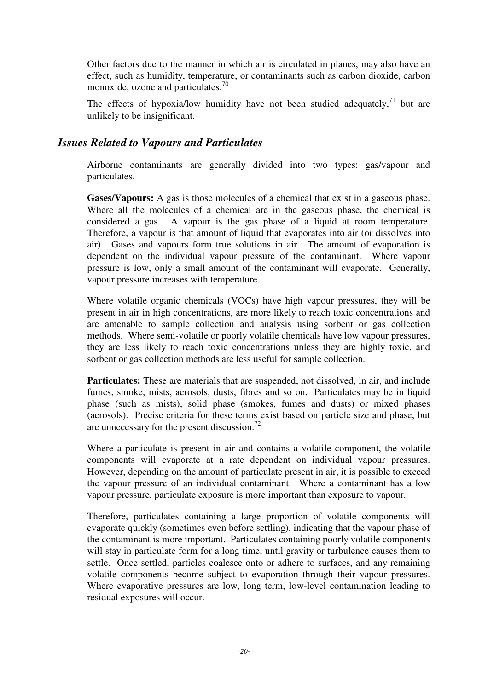Other factors due to the manner in which air is circulated in planes, may also have an effect, such as humidity, temperature, or contaminants such as carbon dioxide, carbon monoxide, ozone and particulates. $\frac{70}{ }$ 

The effects of hypoxia/low humidity have not been studied adequately, $71$  but are unlikely to be insignificant.

#### *Issues Related to Vapours and Particulates*

Airborne contaminants are generally divided into two types: gas/vapour and particulates.

**Gases/Vapours:** A gas is those molecules of a chemical that exist in a gaseous phase. Where all the molecules of a chemical are in the gaseous phase, the chemical is considered a gas. A vapour is the gas phase of a liquid at room temperature. Therefore, a vapour is that amount of liquid that evaporates into air (or dissolves into air). Gases and vapours form true solutions in air. The amount of evaporation is dependent on the individual vapour pressure of the contaminant. Where vapour pressure is low, only a small amount of the contaminant will evaporate. Generally, vapour pressure increases with temperature.

Where volatile organic chemicals (VOCs) have high vapour pressures, they will be present in air in high concentrations, are more likely to reach toxic concentrations and are amenable to sample collection and analysis using sorbent or gas collection methods. Where semi-volatile or poorly volatile chemicals have low vapour pressures, they are less likely to reach toxic concentrations unless they are highly toxic, and sorbent or gas collection methods are less useful for sample collection.

**Particulates:** These are materials that are suspended, not dissolved, in air, and include fumes, smoke, mists, aerosols, dusts, fibres and so on. Particulates may be in liquid phase (such as mists), solid phase (smokes, fumes and dusts) or mixed phases (aerosols). Precise criteria for these terms exist based on particle size and phase, but are unnecessary for the present discussion.<sup>72</sup>

Where a particulate is present in air and contains a volatile component, the volatile components will evaporate at a rate dependent on individual vapour pressures. However, depending on the amount of particulate present in air, it is possible to exceed the vapour pressure of an individual contaminant. Where a contaminant has a low vapour pressure, particulate exposure is more important than exposure to vapour.

Therefore, particulates containing a large proportion of volatile components will evaporate quickly (sometimes even before settling), indicating that the vapour phase of the contaminant is more important. Particulates containing poorly volatile components will stay in particulate form for a long time, until gravity or turbulence causes them to settle. Once settled, particles coalesce onto or adhere to surfaces, and any remaining volatile components become subject to evaporation through their vapour pressures. Where evaporative pressures are low, long term, low-level contamination leading to residual exposures will occur.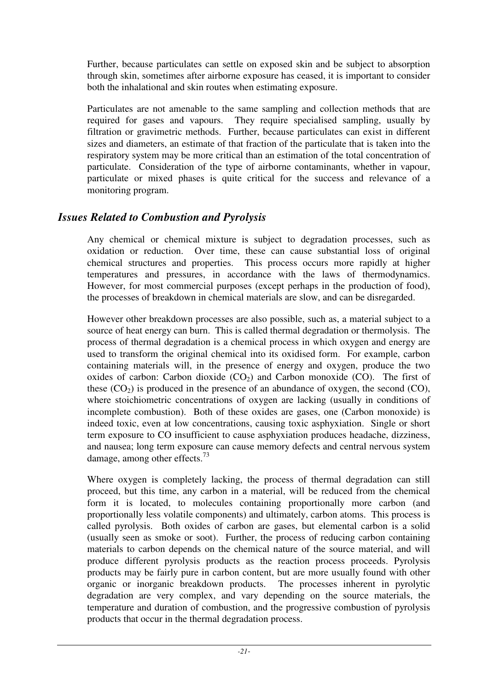Further, because particulates can settle on exposed skin and be subject to absorption through skin, sometimes after airborne exposure has ceased, it is important to consider both the inhalational and skin routes when estimating exposure.

Particulates are not amenable to the same sampling and collection methods that are required for gases and vapours. They require specialised sampling, usually by filtration or gravimetric methods. Further, because particulates can exist in different sizes and diameters, an estimate of that fraction of the particulate that is taken into the respiratory system may be more critical than an estimation of the total concentration of particulate. Consideration of the type of airborne contaminants, whether in vapour, particulate or mixed phases is quite critical for the success and relevance of a monitoring program.

## *Issues Related to Combustion and Pyrolysis*

Any chemical or chemical mixture is subject to degradation processes, such as oxidation or reduction. Over time, these can cause substantial loss of original chemical structures and properties. This process occurs more rapidly at higher temperatures and pressures, in accordance with the laws of thermodynamics. However, for most commercial purposes (except perhaps in the production of food), the processes of breakdown in chemical materials are slow, and can be disregarded.

However other breakdown processes are also possible, such as, a material subject to a source of heat energy can burn. This is called thermal degradation or thermolysis. The process of thermal degradation is a chemical process in which oxygen and energy are used to transform the original chemical into its oxidised form. For example, carbon containing materials will, in the presence of energy and oxygen, produce the two oxides of carbon: Carbon dioxide  $(CO<sub>2</sub>)$  and Carbon monoxide  $(CO)$ . The first of these  $(CO<sub>2</sub>)$  is produced in the presence of an abundance of oxygen, the second  $(CO)$ , where stoichiometric concentrations of oxygen are lacking (usually in conditions of incomplete combustion). Both of these oxides are gases, one (Carbon monoxide) is indeed toxic, even at low concentrations, causing toxic asphyxiation. Single or short term exposure to CO insufficient to cause asphyxiation produces headache, dizziness, and nausea; long term exposure can cause memory defects and central nervous system damage, among other effects. $^{73}$ 

Where oxygen is completely lacking, the process of thermal degradation can still proceed, but this time, any carbon in a material, will be reduced from the chemical form it is located, to molecules containing proportionally more carbon (and proportionally less volatile components) and ultimately, carbon atoms. This process is called pyrolysis. Both oxides of carbon are gases, but elemental carbon is a solid (usually seen as smoke or soot). Further, the process of reducing carbon containing materials to carbon depends on the chemical nature of the source material, and will produce different pyrolysis products as the reaction process proceeds. Pyrolysis products may be fairly pure in carbon content, but are more usually found with other organic or inorganic breakdown products. The processes inherent in pyrolytic degradation are very complex, and vary depending on the source materials, the temperature and duration of combustion, and the progressive combustion of pyrolysis products that occur in the thermal degradation process.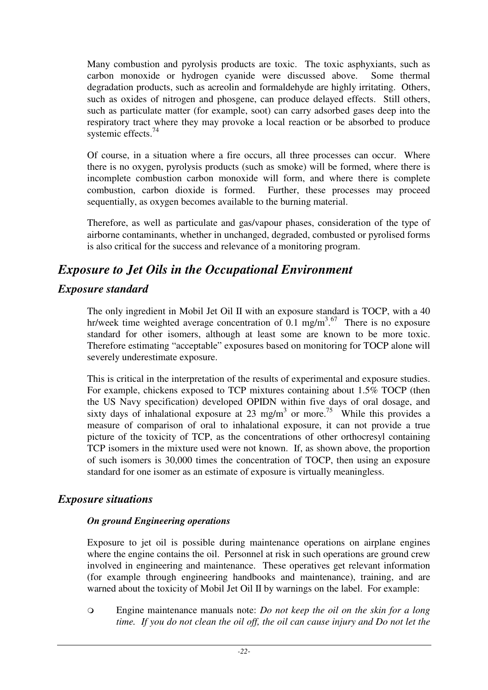Many combustion and pyrolysis products are toxic. The toxic asphyxiants, such as carbon monoxide or hydrogen cyanide were discussed above. Some thermal degradation products, such as acreolin and formaldehyde are highly irritating. Others, such as oxides of nitrogen and phosgene, can produce delayed effects. Still others, such as particulate matter (for example, soot) can carry adsorbed gases deep into the respiratory tract where they may provoke a local reaction or be absorbed to produce systemic effects.<sup>74</sup>

Of course, in a situation where a fire occurs, all three processes can occur. Where there is no oxygen, pyrolysis products (such as smoke) will be formed, where there is incomplete combustion carbon monoxide will form, and where there is complete combustion, carbon dioxide is formed. Further, these processes may proceed sequentially, as oxygen becomes available to the burning material.

Therefore, as well as particulate and gas/vapour phases, consideration of the type of airborne contaminants, whether in unchanged, degraded, combusted or pyrolised forms is also critical for the success and relevance of a monitoring program.

# *Exposure to Jet Oils in the Occupational Environment*

#### *Exposure standard*

The only ingredient in Mobil Jet Oil II with an exposure standard is TOCP, with a 40 hr/week time weighted average concentration of  $0.1 \text{ mg/m}^3$ .<sup>67</sup> There is no exposure standard for other isomers, although at least some are known to be more toxic. Therefore estimating "acceptable" exposures based on monitoring for TOCP alone will severely underestimate exposure.

This is critical in the interpretation of the results of experimental and exposure studies. For example, chickens exposed to TCP mixtures containing about 1.5% TOCP (then the US Navy specification) developed OPIDN within five days of oral dosage, and sixty days of inhalational exposure at 23 mg/m<sup>3</sup> or more.<sup>75</sup> While this provides a measure of comparison of oral to inhalational exposure, it can not provide a true picture of the toxicity of TCP, as the concentrations of other orthocresyl containing TCP isomers in the mixture used were not known. If, as shown above, the proportion of such isomers is 30,000 times the concentration of TOCP, then using an exposure standard for one isomer as an estimate of exposure is virtually meaningless.

#### *Exposure situations*

#### *On ground Engineering operations*

Exposure to jet oil is possible during maintenance operations on airplane engines where the engine contains the oil. Personnel at risk in such operations are ground crew involved in engineering and maintenance. These operatives get relevant information (for example through engineering handbooks and maintenance), training, and are warned about the toxicity of Mobil Jet Oil II by warnings on the label. For example:

 Engine maintenance manuals note: *Do not keep the oil on the skin for a long time. If you do not clean the oil off, the oil can cause injury and Do not let the*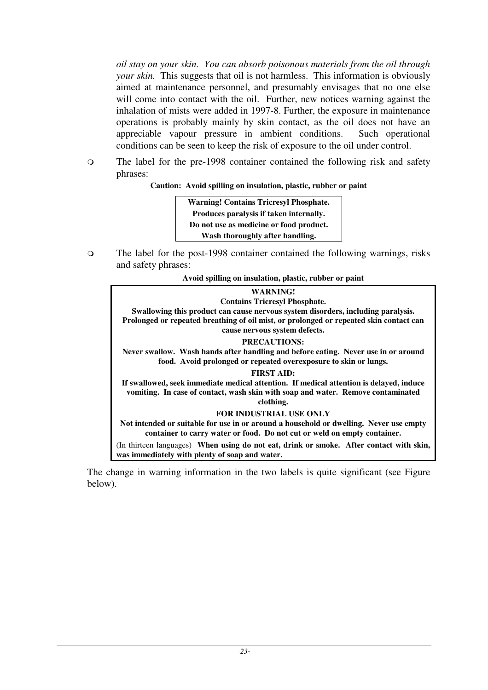*oil stay on your skin. You can absorb poisonous materials from the oil through your skin.* This suggests that oil is not harmless. This information is obviously aimed at maintenance personnel, and presumably envisages that no one else will come into contact with the oil. Further, new notices warning against the inhalation of mists were added in 1997-8. Further, the exposure in maintenance operations is probably mainly by skin contact, as the oil does not have an appreciable vapour pressure in ambient conditions. Such operational conditions can be seen to keep the risk of exposure to the oil under control.

 The label for the pre-1998 container contained the following risk and safety phrases:

**Caution: Avoid spilling on insulation, plastic, rubber or paint** 

**Warning! Contains Tricresyl Phosphate. Produces paralysis if taken internally. Do not use as medicine or food product. Wash thoroughly after handling.** 

 The label for the post-1998 container contained the following warnings, risks and safety phrases:

**Avoid spilling on insulation, plastic, rubber or paint** 

| <b>WARNING!</b>                                                                                                                                                                          |  |  |  |
|------------------------------------------------------------------------------------------------------------------------------------------------------------------------------------------|--|--|--|
| <b>Contains Tricresyl Phosphate.</b>                                                                                                                                                     |  |  |  |
| Swallowing this product can cause nervous system disorders, including paralysis.                                                                                                         |  |  |  |
| Prolonged or repeated breathing of oil mist, or prolonged or repeated skin contact can                                                                                                   |  |  |  |
| cause nervous system defects.                                                                                                                                                            |  |  |  |
| <b>PRECAUTIONS:</b>                                                                                                                                                                      |  |  |  |
| Never swallow. Wash hands after handling and before eating. Never use in or around<br>food. Avoid prolonged or repeated overexposure to skin or lungs.                                   |  |  |  |
| <b>FIRST AID:</b>                                                                                                                                                                        |  |  |  |
| If swallowed, seek immediate medical attention. If medical attention is delayed, induce<br>vomiting. In case of contact, wash skin with soap and water. Remove contaminated<br>clothing. |  |  |  |
| <b>FOR INDUSTRIAL USE ONLY</b>                                                                                                                                                           |  |  |  |
| Not intended or suitable for use in or around a household or dwelling. Never use empty<br>container to carry water or food. Do not cut or weld on empty container.                       |  |  |  |
| (In thirteen languages) When using do not eat, drink or smoke. After contact with skin,<br>was immediately with plenty of soap and water.                                                |  |  |  |

The change in warning information in the two labels is quite significant (see Figure below).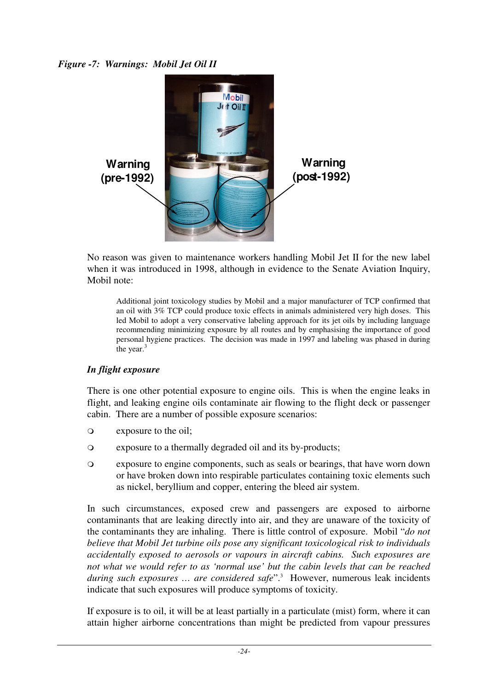*Figure -7: Warnings: Mobil Jet Oil II* 



No reason was given to maintenance workers handling Mobil Jet II for the new label when it was introduced in 1998, although in evidence to the Senate Aviation Inquiry, Mobil note:

Additional joint toxicology studies by Mobil and a major manufacturer of TCP confirmed that an oil with 3% TCP could produce toxic effects in animals administered very high doses. This led Mobil to adopt a very conservative labeling approach for its jet oils by including language recommending minimizing exposure by all routes and by emphasising the importance of good personal hygiene practices. The decision was made in 1997 and labeling was phased in during the year. $3$ 

#### *In flight exposure*

There is one other potential exposure to engine oils. This is when the engine leaks in flight, and leaking engine oils contaminate air flowing to the flight deck or passenger cabin. There are a number of possible exposure scenarios:

- exposure to the oil;
- exposure to a thermally degraded oil and its by-products;
- exposure to engine components, such as seals or bearings, that have worn down or have broken down into respirable particulates containing toxic elements such as nickel, beryllium and copper, entering the bleed air system.

In such circumstances, exposed crew and passengers are exposed to airborne contaminants that are leaking directly into air, and they are unaware of the toxicity of the contaminants they are inhaling. There is little control of exposure. Mobil "*do not believe that Mobil Jet turbine oils pose any significant toxicological risk to individuals accidentally exposed to aerosols or vapours in aircraft cabins. Such exposures are not what we would refer to as 'normal use' but the cabin levels that can be reached*  during such exposures ... are considered safe".<sup>3</sup> However, numerous leak incidents indicate that such exposures will produce symptoms of toxicity.

If exposure is to oil, it will be at least partially in a particulate (mist) form, where it can attain higher airborne concentrations than might be predicted from vapour pressures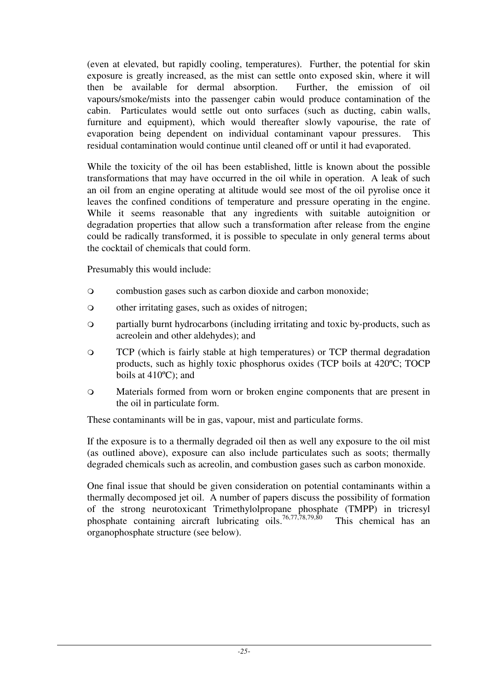(even at elevated, but rapidly cooling, temperatures). Further, the potential for skin exposure is greatly increased, as the mist can settle onto exposed skin, where it will then be available for dermal absorption. Further, the emission of oil vapours/smoke/mists into the passenger cabin would produce contamination of the cabin. Particulates would settle out onto surfaces (such as ducting, cabin walls, furniture and equipment), which would thereafter slowly vapourise, the rate of evaporation being dependent on individual contaminant vapour pressures. This residual contamination would continue until cleaned off or until it had evaporated.

While the toxicity of the oil has been established, little is known about the possible transformations that may have occurred in the oil while in operation. A leak of such an oil from an engine operating at altitude would see most of the oil pyrolise once it leaves the confined conditions of temperature and pressure operating in the engine. While it seems reasonable that any ingredients with suitable autoignition or degradation properties that allow such a transformation after release from the engine could be radically transformed, it is possible to speculate in only general terms about the cocktail of chemicals that could form.

Presumably this would include:

- combustion gases such as carbon dioxide and carbon monoxide;
- other irritating gases, such as oxides of nitrogen;
- partially burnt hydrocarbons (including irritating and toxic by-products, such as acreolein and other aldehydes); and
- TCP (which is fairly stable at high temperatures) or TCP thermal degradation products, such as highly toxic phosphorus oxides (TCP boils at 420ºC; TOCP boils at 410ºC); and
- Materials formed from worn or broken engine components that are present in the oil in particulate form.

These contaminants will be in gas, vapour, mist and particulate forms.

If the exposure is to a thermally degraded oil then as well any exposure to the oil mist (as outlined above), exposure can also include particulates such as soots; thermally degraded chemicals such as acreolin, and combustion gases such as carbon monoxide.

One final issue that should be given consideration on potential contaminants within a thermally decomposed jet oil. A number of papers discuss the possibility of formation of the strong neurotoxicant Trimethylolpropane phosphate (TMPP) in tricresyl phosphate containing aircraft lubricating oils.<sup>76,77,78,79,80</sup> This chemical has an organophosphate structure (see below).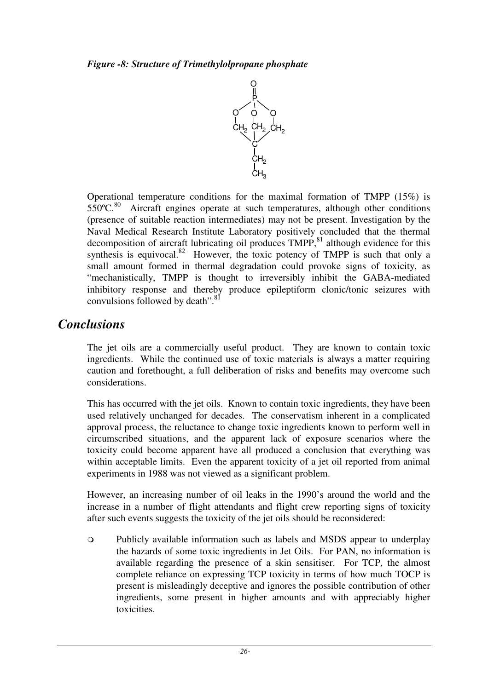

Operational temperature conditions for the maximal formation of TMPP (15%) is  $550^{\circ}$ C.<sup>80</sup> Aircraft engines operate at such temperatures, although other conditions (presence of suitable reaction intermediates) may not be present. Investigation by the Naval Medical Research Institute Laboratory positively concluded that the thermal decomposition of aircraft lubricating oil produces  $TMPP<sub>1</sub><sup>81</sup>$  although evidence for this synthesis is equivocal. $82$  However, the toxic potency of TMPP is such that only a small amount formed in thermal degradation could provoke signs of toxicity, as "mechanistically, TMPP is thought to irreversibly inhibit the GABA-mediated inhibitory response and thereby produce epileptiform clonic/tonic seizures with convulsions followed by death".<sup>81</sup>

## *Conclusions*

The jet oils are a commercially useful product. They are known to contain toxic ingredients. While the continued use of toxic materials is always a matter requiring caution and forethought, a full deliberation of risks and benefits may overcome such considerations.

This has occurred with the jet oils. Known to contain toxic ingredients, they have been used relatively unchanged for decades. The conservatism inherent in a complicated approval process, the reluctance to change toxic ingredients known to perform well in circumscribed situations, and the apparent lack of exposure scenarios where the toxicity could become apparent have all produced a conclusion that everything was within acceptable limits. Even the apparent toxicity of a jet oil reported from animal experiments in 1988 was not viewed as a significant problem.

However, an increasing number of oil leaks in the 1990's around the world and the increase in a number of flight attendants and flight crew reporting signs of toxicity after such events suggests the toxicity of the jet oils should be reconsidered:

 Publicly available information such as labels and MSDS appear to underplay the hazards of some toxic ingredients in Jet Oils. For PAN, no information is available regarding the presence of a skin sensitiser. For TCP, the almost complete reliance on expressing TCP toxicity in terms of how much TOCP is present is misleadingly deceptive and ignores the possible contribution of other ingredients, some present in higher amounts and with appreciably higher toxicities.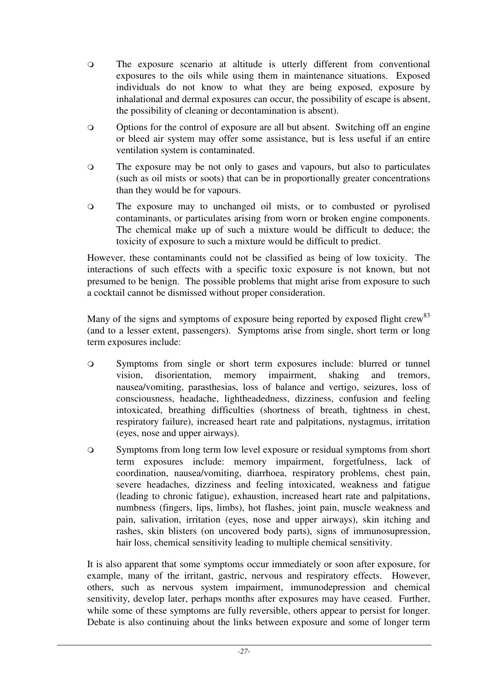- The exposure scenario at altitude is utterly different from conventional exposures to the oils while using them in maintenance situations. Exposed individuals do not know to what they are being exposed, exposure by inhalational and dermal exposures can occur, the possibility of escape is absent, the possibility of cleaning or decontamination is absent).
- Options for the control of exposure are all but absent. Switching off an engine or bleed air system may offer some assistance, but is less useful if an entire ventilation system is contaminated.
- The exposure may be not only to gases and vapours, but also to particulates (such as oil mists or soots) that can be in proportionally greater concentrations than they would be for vapours.
- The exposure may to unchanged oil mists, or to combusted or pyrolised contaminants, or particulates arising from worn or broken engine components. The chemical make up of such a mixture would be difficult to deduce; the toxicity of exposure to such a mixture would be difficult to predict.

However, these contaminants could not be classified as being of low toxicity. The interactions of such effects with a specific toxic exposure is not known, but not presumed to be benign. The possible problems that might arise from exposure to such a cocktail cannot be dismissed without proper consideration.

Many of the signs and symptoms of exposure being reported by exposed flight crew<sup>83</sup> (and to a lesser extent, passengers). Symptoms arise from single, short term or long term exposures include:

- Symptoms from single or short term exposures include: blurred or tunnel vision, disorientation, memory impairment, shaking and tremors, nausea/vomiting, parasthesias, loss of balance and vertigo, seizures, loss of consciousness, headache, lightheadedness, dizziness, confusion and feeling intoxicated, breathing difficulties (shortness of breath, tightness in chest, respiratory failure), increased heart rate and palpitations, nystagmus, irritation (eyes, nose and upper airways).
- Symptoms from long term low level exposure or residual symptoms from short term exposures include: memory impairment, forgetfulness, lack of coordination, nausea/vomiting, diarrhoea, respiratory problems, chest pain, severe headaches, dizziness and feeling intoxicated, weakness and fatigue (leading to chronic fatigue), exhaustion, increased heart rate and palpitations, numbness (fingers, lips, limbs), hot flashes, joint pain, muscle weakness and pain, salivation, irritation (eyes, nose and upper airways), skin itching and rashes, skin blisters (on uncovered body parts), signs of immunosupression, hair loss, chemical sensitivity leading to multiple chemical sensitivity.

It is also apparent that some symptoms occur immediately or soon after exposure, for example, many of the irritant, gastric, nervous and respiratory effects. However, others, such as nervous system impairment, immunodepression and chemical sensitivity, develop later, perhaps months after exposures may have ceased. Further, while some of these symptoms are fully reversible, others appear to persist for longer. Debate is also continuing about the links between exposure and some of longer term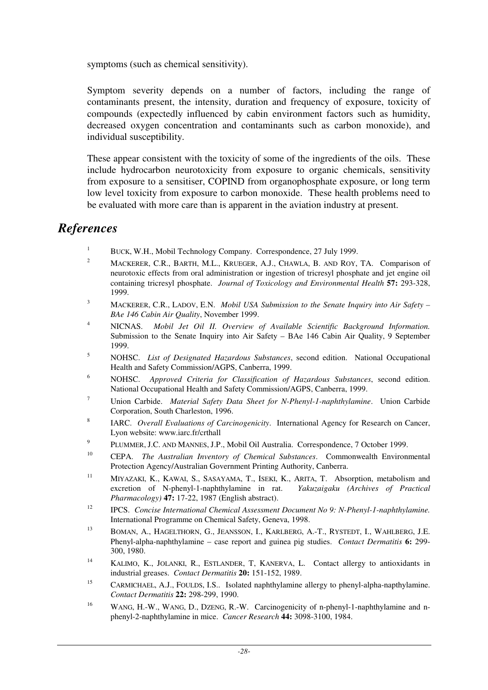symptoms (such as chemical sensitivity).

Symptom severity depends on a number of factors, including the range of contaminants present, the intensity, duration and frequency of exposure, toxicity of compounds (expectedly influenced by cabin environment factors such as humidity, decreased oxygen concentration and contaminants such as carbon monoxide), and individual susceptibility.

These appear consistent with the toxicity of some of the ingredients of the oils. These include hydrocarbon neurotoxicity from exposure to organic chemicals, sensitivity from exposure to a sensitiser, COPIND from organophosphate exposure, or long term low level toxicity from exposure to carbon monoxide. These health problems need to be evaluated with more care than is apparent in the aviation industry at present.

## *References*

- 1 BUCK, W.H., Mobil Technology Company. Correspondence, 27 July 1999.
- $\overline{2}$  MACKERER, C.R., BARTH, M.L., KRUEGER, A.J., CHAWLA, B. AND ROY, TA. Comparison of neurotoxic effects from oral administration or ingestion of tricresyl phosphate and jet engine oil containing tricresyl phosphate. *Journal of Toxicology and Environmental Health* **57:** 293-328, 1999.
- 3 MACKERER, C.R., LADOV, E.N. *Mobil USA Submission to the Senate Inquiry into Air Safety – BAe 146 Cabin Air Quality*, November 1999.
- 4 NICNAS. *Mobil Jet Oil II. Overview of Available Scientific Background Information.* Submission to the Senate Inquiry into Air Safety – BAe 146 Cabin Air Quality, 9 September 1999.
- 5 NOHSC. *List of Designated Hazardous Substances*, second edition. National Occupational Health and Safety Commission/AGPS, Canberra, 1999.
- 6 NOHSC. *Approved Criteria for Classification of Hazardous Substances*, second edition. National Occupational Health and Safety Commission/AGPS, Canberra, 1999.
- 7 Union Carbide. *Material Safety Data Sheet for N-Phenyl-1-naphthylamine*. Union Carbide Corporation, South Charleston, 1996.
- 8 IARC. *Overall Evaluations of Carcinogenicity*. International Agency for Research on Cancer, Lyon website: www.iarc.fr/crthall
- 9 PLUMMER, J.C. AND MANNES, J.P., Mobil Oil Australia. Correspondence, 7 October 1999.
- <sup>10</sup> CEPA. *The Australian Inventory of Chemical Substances*. Commonwealth Environmental Protection Agency/Australian Government Printing Authority, Canberra.
- <sup>11</sup> MIYAZAKI, K., KAWAI, S., SASAYAMA, T., ISEKI, K., ARITA, T. Absorption, metabolism and excretion of N-phenyl-1-naphthylamine in rat. *Yakuzaigaku (Archives of Practical Pharmacology)* **47:** 17-22, 1987 (English abstract).
- <sup>12</sup> IPCS. *Concise International Chemical Assessment Document No 9: N-Phenyl-1-naphthylamine.* International Programme on Chemical Safety, Geneva, 1998.
- <sup>13</sup> BOMAN, A., HAGELTHORN, G., JEANSSON, I., KARLBERG, A.-T., RYSTEDT, I., WAHLBERG, J.E. Phenyl-alpha-naphthylamine – case report and guinea pig studies. *Contact Dermatitis* **6:** 299- 300, 1980.
- <sup>14</sup> KALIMO, K., JOLANKI, R., ESTLANDER, T., KANERVA, L. Contact allergy to antioxidants in industrial greases. *Contact Dermatitis* **20:** 151-152, 1989.
- <sup>15</sup> CARMICHAEL, A.J., FOULDS, I.S.. Isolated naphthylamine allergy to phenyl-alpha-napthylamine. *Contact Dermatitis* **22:** 298-299, 1990.
- <sup>16</sup> WANG, H.-W., WANG, D., DZENG, R.-W. Carcinogenicity of n-phenyl-1-naphthylamine and nphenyl-2-naphthylamine in mice. *Cancer Research* **44:** 3098-3100, 1984.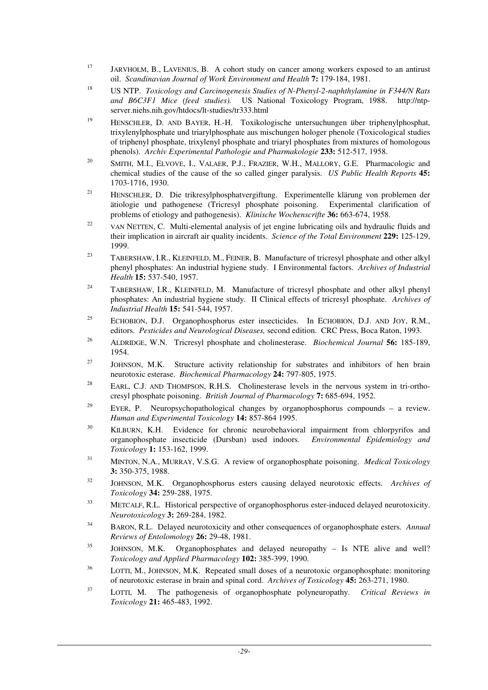- <sup>17</sup> JARVHOLM, B., LAVENIUS, B. A cohort study on cancer among workers exposed to an antirust oil. *Scandinavian Journal of Work Environment and Health* **7:** 179-184, 1981.
- <sup>18</sup> US NTP. *Toxicology and Carcinogenesis Studies of N-Phenyl-2-naphthylamine in F344/N Rats and B6C3F1 Mice (feed studies).* US National Toxicology Program, 1988. http://ntpserver.niehs.nih.gov/htdocs/lt-studies/tr333.html
- <sup>19</sup> HENSCHLER, D. AND BAYER, H.-H. Toxikologische untersuchungen über triphenylphosphat, trixylenylphosphate und triarylphosphate aus mischungen hologer phenole (Toxicological studies of triphenyl phosphate, trixylenyl phosphate and triaryl phosphates from mixtures of homologous phenols). *Archiv Experimental Pathologie und Pharmakologie* **233:** 512-517, 1958.
- <sup>20</sup> SMITH, M.I., ELVOVE, I., VALAER, P.J., FRAZIER, W.H., MALLORY, G.E. Pharmacologic and chemical studies of the cause of the so called ginger paralysis. *US Public Health Reports* **45:** 1703-1716, 1930.
- <sup>21</sup> HENSCHLER, D. Die trikresylphosphatvergiftung. Experimentelle klärung von problemen der ätiologie und pathogenese (Tricresyl phosphate poisoning. Experimental clarification of problems of etiology and pathogenesis). *Klinische Wochenscrifte* **36:** 663-674, 1958.
- $22$  VAN NETTEN, C. Multi-elemental analysis of jet engine lubricating oils and hydraulic fluids and their implication in aircraft air quality incidents. *Science of the Total Environment* **229:** 125-129, 1999.
- <sup>23</sup> TABERSHAW, I.R., KLEINFELD, M., FEINER, B. Manufacture of tricresyl phosphate and other alkyl phenyl phosphates: An industrial hygiene study. I Environmental factors. *Archives of Industrial Health* **15:** 537-540, 1957.
- <sup>24</sup> TABERSHAW, I.R., KLEINFELD, M. Manufacture of tricresyl phosphate and other alkyl phenyl phosphates: An industrial hygiene study. II Clinical effects of tricresyl phosphate. *Archives of Industrial Health* **15:** 541-544, 1957.
- <sup>25</sup> ECHOBION, D.J. Organophosphorus ester insecticides. In ECHOBION, D.J. AND JOY, R.M., editors. *Pesticides and Neurological Diseases,* second edition. CRC Press, Boca Raton, 1993.
- <sup>26</sup> ALDRIDGE, W.N. Tricresyl phosphate and cholinesterase. *Biochemical Journal* **56:** 185-189, 1954.
- <sup>27</sup> JOHNSON, M.K. Structure activity relationship for substrates and inhibitors of hen brain neurotoxic esterase. *Biochemical Pharmacology* **24:** 797-805, 1975.
- <sup>28</sup> EARL, C.J. AND THOMPSON, R.H.S. Cholinesterase levels in the nervous system in tri-orthocresyl phosphate poisoning. *British Journal of Pharmacology* **7:** 685-694, 1952.
- <sup>29</sup> EYER, P. Neuropsychopathological changes by organophosphorus compounds a review. *Human and Experimental Toxicology* **14:** 857-864 1995.
- <sup>30</sup> KILBURN, K.H. Evidence for chronic neurobehavioral impairment from chlorpyrifos and organophosphate insecticide (Dursban) used indoors. *Environmental Epidemiology and Toxicology* **1:** 153-162, 1999.
- <sup>31</sup> MINTON, N.A., MURRAY, V.S.G. A review of organophosphate poisoning. *Medical Toxicology* **3:** 350-375, 1988.
- <sup>32</sup> JOHNSON, M.K. Organophosphorus esters causing delayed neurotoxic effects. *Archives of Toxicology* **34:** 259-288, 1975.
- <sup>33</sup> METCALF, R.L. Historical perspective of organophosphorus ester-induced delayed neurotoxicity. *Neurotoxicology* **3:** 269-284, 1982.
- <sup>34</sup> BARON, R.L. Delayed neurotoxicity and other consequences of organophosphate esters. *Annual Reviews of Entolomology* **26:** 29-48, 1981.
- <sup>35</sup> JOHNSON, M.K. Organophosphates and delayed neuropathy Is NTE alive and well? *Toxicology and Applied Pharmacology* **102:** 385-399, 1990.
- <sup>36</sup> LOTTI, M., JOHNSON, M.K. Repeated small doses of a neurotoxic organophosphate: monitoring of neurotoxic esterase in brain and spinal cord. *Archives of Toxicology* **45:** 263-271, 1980.
- <sup>37</sup> LOTTI, M. The pathogenesis of organophosphate polyneuropathy. *Critical Reviews in Toxicology* **21:** 465-483, 1992.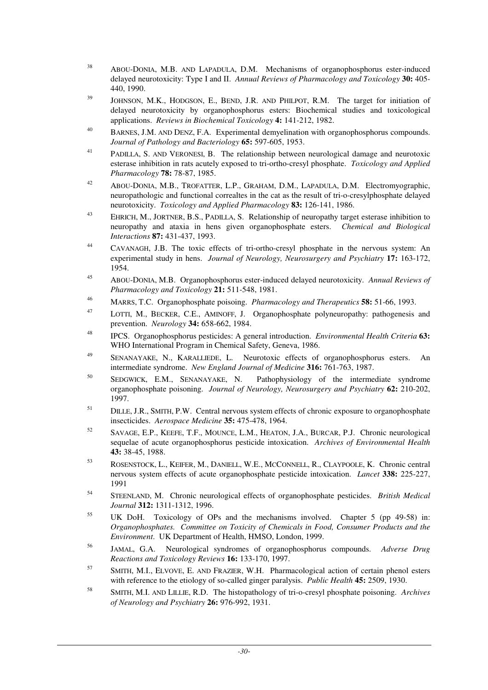- <sup>38</sup> ABOU-DONIA, M.B. AND LAPADULA, D.M. Mechanisms of organophosphorus ester-induced delayed neurotoxicity: Type I and II. *Annual Reviews of Pharmacology and Toxicology* **30:** 405- 440, 1990.
- <sup>39</sup> JOHNSON, M.K., HODGSON, E., BEND, J.R. AND PHILPOT, R.M. The target for initiation of delayed neurotoxicity by organophosphorus esters: Biochemical studies and toxicological applications. *Reviews in Biochemical Toxicology* **4:** 141-212, 1982.
- <sup>40</sup> BARNES, J.M. AND DENZ, F.A. Experimental demyelination with organophosphorus compounds. *Journal of Pathology and Bacteriology* **65:** 597-605, 1953.
- <sup>41</sup> PADILLA, S. AND VERONESI, B. The relationship between neurological damage and neurotoxic esterase inhibition in rats acutely exposed to tri-ortho-cresyl phosphate. *Toxicology and Applied Pharmacology* **78:** 78-87, 1985.
- <sup>42</sup> ABOU-DONIA, M.B., TROFATTER, L.P., GRAHAM, D.M., LAPADULA, D.M. Electromyographic, neuropathologic and functional correaltes in the cat as the result of tri-o-cresylphosphate delayed neurotoxicity. *Toxicology and Applied Pharmacology* **83:** 126-141, 1986.
- <sup>43</sup> EHRICH, M., JORTNER, B.S., PADILLA, S. Relationship of neuropathy target esterase inhibition to neuropathy and ataxia in hens given organophosphate esters. *Chemical and Biological Interactions* **87:** 431-437, 1993.
- <sup>44</sup> CAVANAGH, J.B. The toxic effects of tri-ortho-cresyl phosphate in the nervous system: An experimental study in hens. *Journal of Neurology, Neurosurgery and Psychiatry* **17:** 163-172, 1954.
- <sup>45</sup> ABOU-DONIA, M.B. Organophosphorus ester-induced delayed neurotoxicity. *Annual Reviews of Pharmacology and Toxicology* **21:** 511-548, 1981.
- <sup>46</sup> MARRS, T.C. Organophosphate poisoing. *Pharmacology and Therapeutics* **58:** 51-66, 1993.
- <sup>47</sup> LOTTI, M., BECKER, C.E., AMINOFF, J. Organophosphate polyneuropathy: pathogenesis and prevention. *Neurology* **34:** 658-662, 1984.
- <sup>48</sup> IPCS. Organophosphorus pesticides: A general introduction. *Environmental Health Criteria* **63:** WHO International Program in Chemical Safety, Geneva, 1986.
- <sup>49</sup> SENANAYAKE, N., KARALLIEDE, L. Neurotoxic effects of organophosphorus esters. An intermediate syndrome. *New England Journal of Medicine* **316:** 761-763, 1987.
- <sup>50</sup> SEDGWICK, E.M., SENANAYAKE, N. Pathophysiology of the intermediate syndrome organophosphate poisoning. *Journal of Neurology, Neurosurgery and Psychiatry* **62:** 210-202, 1997.
- <sup>51</sup> DILLE, J.R., SMITH, P.W. Central nervous system effects of chronic exposure to organophosphate insecticides. *Aerospace Medicine* **35:** 475-478, 1964.
- <sup>52</sup> SAVAGE, E.P., KEEFE, T.F., MOUNCE, L.M., HEATON, J.A., BURCAR, P.J. Chronic neurological sequelae of acute organophosphorus pesticide intoxication. *Archives of Environmental Health* **43:** 38-45, 1988.
- <sup>53</sup> ROSENSTOCK, L., KEIFER, M., DANIELL, W.E., MCCONNELL, R., CLAYPOOLE, K. Chronic central nervous system effects of acute organophosphate pesticide intoxication. *Lancet* **338:** 225-227, 1991
- <sup>54</sup> STEENLAND, M. Chronic neurological effects of organophosphate pesticides. *British Medical Journal* **312:** 1311-1312, 1996.
- <sup>55</sup> UK DoH. Toxicology of OPs and the mechanisms involved. Chapter 5 (pp 49-58) in: *Organophosphates. Committee on Toxicity of Chemicals in Food, Consumer Products and the Environment*. UK Department of Health, HMSO, London, 1999.
- <sup>56</sup> JAMAL, G.A. Neurological syndromes of organophosphorus compounds. *Adverse Drug Reactions and Toxicology Reviews* **16:** 133-170, 1997.
- <sup>57</sup> SMITH, M.I., ELVOVE, E. AND FRAZIER, W.H. Pharmacological action of certain phenol esters with reference to the etiology of so-called ginger paralysis. *Public Health* **45:** 2509, 1930.
- <sup>58</sup> SMITH, M.I. AND LILLIE, R.D. The histopathology of tri-o-cresyl phosphate poisoning. *Archives of Neurology and Psychiatry* **26:** 976-992, 1931.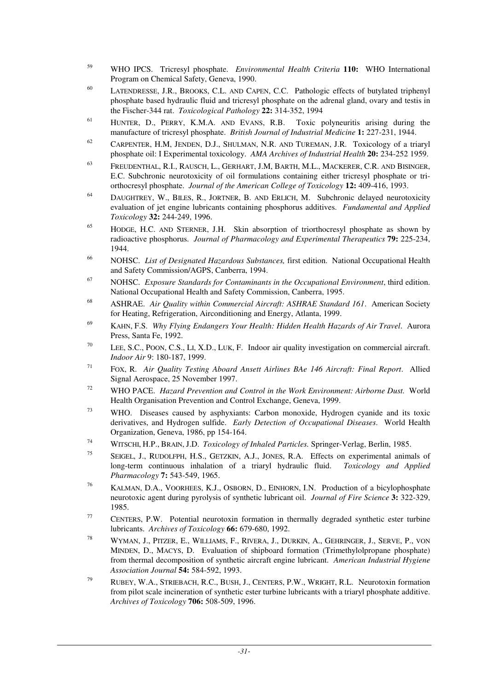- <sup>59</sup> WHO IPCS. Tricresyl phosphate. *Environmental Health Criteria* **110:** WHO International Program on Chemical Safety, Geneva, 1990.
- <sup>60</sup> LATENDRESSE, J.R., BROOKS, C.L. AND CAPEN, C.C. Pathologic effects of butylated triphenyl phosphate based hydraulic fluid and tricresyl phosphate on the adrenal gland, ovary and testis in the Fischer-344 rat. *Toxicological Pathology* **22:** 314-352, 1994
- <sup>61</sup> HUNTER, D., PERRY, K.M.A. AND EVANS, R.B. Toxic polyneuritis arising during the manufacture of tricresyl phosphate. *British Journal of Industrial Medicine* **1:** 227-231, 1944.
- <sup>62</sup> CARPENTER, H.M, JENDEN, D.J., SHULMAN, N.R. AND TUREMAN, J.R. Toxicology of a triaryl phosphate oil: I Experimental toxicology. *AMA Archives of Industrial Health* **20:** 234-252 1959.
- <sup>63</sup> FREUDENTHAL, R.I., RAUSCH, L., GERHART, J.M, BARTH, M.L., MACKERER, C.R. AND BISINGER, E.C. Subchronic neurotoxicity of oil formulations containing either tricresyl phosphate or triorthocresyl phosphate. *Journal of the American College of Toxicology* **12:** 409-416, 1993.
- <sup>64</sup> DAUGHTREY, W., BILES, R., JORTNER, B. AND ERLICH, M. Subchronic delayed neurotoxicity evaluation of jet engine lubricants containing phosphorus additives. *Fundamental and Applied Toxicology* **32:** 244-249, 1996.
- <sup>65</sup> HODGE, H.C. AND STERNER, J.H. Skin absorption of triorthocresyl phosphate as shown by radioactive phosphorus. *Journal of Pharmacology and Experimental Therapeutics* **79:** 225-234, 1944.
- <sup>66</sup> NOHSC. *List of Designated Hazardous Substances,* first edition. National Occupational Health and Safety Commission/AGPS, Canberra, 1994.
- <sup>67</sup> NOHSC. *Exposure Standards for Contaminants in the Occupational Environment*, third edition. National Occupational Health and Safety Commission, Canberra, 1995.
- <sup>68</sup> ASHRAE. *Air Quality within Commercial Aircraft: ASHRAE Standard 161*. American Society for Heating, Refrigeration, Airconditioning and Energy, Atlanta, 1999.
- <sup>69</sup> KAHN, F.S. *Why Flying Endangers Your Health: Hidden Health Hazards of Air Travel*. Aurora Press, Santa Fe, 1992.
- <sup>70</sup> LEE, S.C., POON, C.S., LI, X.D., LUK, F. Indoor air quality investigation on commercial aircraft. *Indoor Air* 9: 180-187, 1999.
- <sup>71</sup> FOX, R. *Air Quality Testing Aboard Ansett Airlines BAe 146 Aircraft: Final Report*. Allied Signal Aerospace, 25 November 1997.
- <sup>72</sup> WHO PACE. *Hazard Prevention and Control in the Work Environment: Airborne Dust.* World Health Organisation Prevention and Control Exchange, Geneva, 1999.
- <sup>73</sup> WHO. Diseases caused by asphyxiants: Carbon monoxide, Hydrogen cyanide and its toxic derivatives, and Hydrogen sulfide. *Early Detection of Occupational Diseases*. World Health Organization, Geneva, 1986, pp 154-164.
- <sup>74</sup> WITSCHI, H.P., BRAIN, J.D. *Toxicology of Inhaled Particles.* Springer-Verlag, Berlin, 1985.
- <sup>75</sup> SEIGEL, J., RUDOLFPH, H.S., GETZKIN, A.J., JONES, R.A. Effects on experimental animals of long-term continuous inhalation of a triaryl hydraulic fluid. *Toxicology and Applied Pharmacology* **7:** 543-549, 1965.
- <sup>76</sup> KALMAN, D.A., VOORHEES, K.J., OSBORN, D., EINHORN, I.N. Production of a bicylophosphate neurotoxic agent during pyrolysis of synthetic lubricant oil. *Journal of Fire Science* **3:** 322-329, 1985.
- $77$  CENTERS, P.W. Potential neurotoxin formation in thermally degraded synthetic ester turbine lubricants. *Archives of Toxicology* **66:** 679-680, 1992.
- <sup>78</sup> WYMAN, J., PITZER, E., WILLIAMS, F., RIVERA, J., DURKIN, A., GEHRINGER, J., SERVE, P., VON MINDEN, D., MACYS, D. Evaluation of shipboard formation (Trimethylolpropane phosphate) from thermal decomposition of synthetic aircraft engine lubricant. *American Industrial Hygiene Association Journal* **54:** 584-592, 1993.
- <sup>79</sup> RUBEY, W.A., STRIEBACH, R.C., BUSH, J., CENTERS, P.W., WRIGHT, R.L. Neurotoxin formation from pilot scale incineration of synthetic ester turbine lubricants with a triaryl phosphate additive. *Archives of Toxicology* **706:** 508-509, 1996.